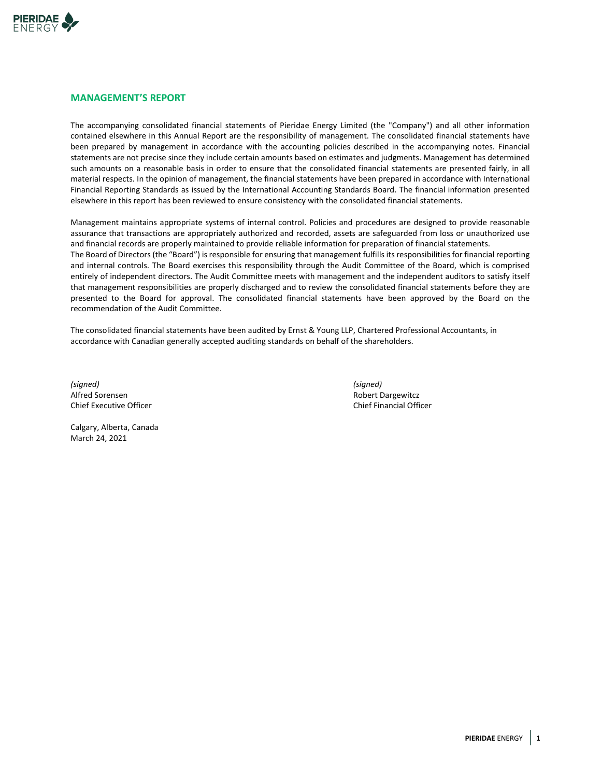

# **MANAGEMENT'S REPORT**

The accompanying consolidated financial statements of Pieridae Energy Limited (the "Company") and all other information contained elsewhere in this Annual Report are the responsibility of management. The consolidated financial statements have been prepared by management in accordance with the accounting policies described in the accompanying notes. Financial statements are not precise since they include certain amounts based on estimates and judgments. Management has determined such amounts on a reasonable basis in order to ensure that the consolidated financial statements are presented fairly, in all material respects. In the opinion of management, the financial statements have been prepared in accordance with International Financial Reporting Standards as issued by the International Accounting Standards Board. The financial information presented elsewhere in this report has been reviewed to ensure consistency with the consolidated financial statements.

Management maintains appropriate systems of internal control. Policies and procedures are designed to provide reasonable assurance that transactions are appropriately authorized and recorded, assets are safeguarded from loss or unauthorized use and financial records are properly maintained to provide reliable information for preparation of financial statements. The Board of Directors (the "Board") is responsible for ensuring that management fulfills its responsibilities for financial reporting and internal controls. The Board exercises this responsibility through the Audit Committee of the Board, which is comprised entirely of independent directors. The Audit Committee meets with management and the independent auditors to satisfy itself that management responsibilities are properly discharged and to review the consolidated financial statements before they are presented to the Board for approval. The consolidated financial statements have been approved by the Board on the recommendation of the Audit Committee.

The consolidated financial statements have been audited by Ernst & Young LLP, Chartered Professional Accountants, in accordance with Canadian generally accepted auditing standards on behalf of the shareholders.

*(signed) (signed)* Alfred Sorensen **Robert Dargewitcz Robert Dargewitcz Robert Dargewitcz Robert Dargewitcz** 

Chief Executive Officer Chief Financial Officer

Calgary, Alberta, Canada March 24, 2021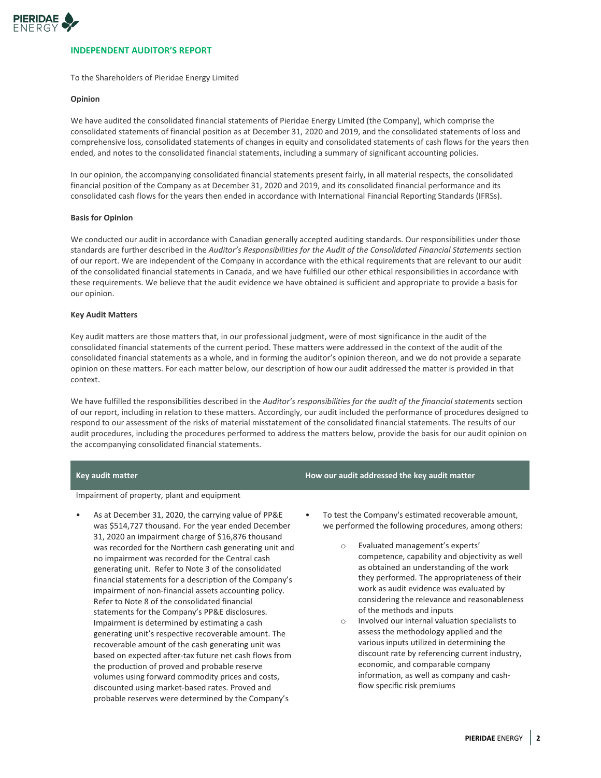

# **INDEPENDENT AUDITOR'S REPORT**

To the Shareholders of Pieridae Energy Limited

#### **Opinion**

We have audited the consolidated financial statements of Pieridae Energy Limited (the Company), which comprise the consolidated statements of financial position as at December 31, 2020 and 2019, and the consolidated statements of loss and comprehensive loss, consolidated statements of changes in equity and consolidated statements of cash flows for the years then ended, and notes to the consolidated financial statements, including a summary of significant accounting policies.

In our opinion, the accompanying consolidated financial statements present fairly, in all material respects, the consolidated financial position of the Company as at December 31, 2020 and 2019, and its consolidated financial performance and its consolidated cash flows for the years then ended in accordance with International Financial Reporting Standards (IFRSs).

#### **Basis for Opinion**

We conducted our audit in accordance with Canadian generally accepted auditing standards. Our responsibilities under those standards are further described in the *Auditor's Responsibilities for the Audit of the Consolidated Financial Statements* section of our report. We are independent of the Company in accordance with the ethical requirements that are relevant to our audit of the consolidated financial statements in Canada, and we have fulfilled our other ethical responsibilities in accordance with these requirements. We believe that the audit evidence we have obtained is sufficient and appropriate to provide a basis for our opinion.

#### **Key Audit Matters**

Key audit matters are those matters that, in our professional judgment, were of most significance in the audit of the consolidated financial statements of the current period. These matters were addressed in the context of the audit of the consolidated financial statements as a whole, and in forming the auditor's opinion thereon, and we do not provide a separate opinion on these matters. For each matter below, our description of how our audit addressed the matter is provided in that context.

We have fulfilled the responsibilities described in the *Auditor's responsibilities for the audit of the financial statements* section of our report, including in relation to these matters. Accordingly, our audit included the performance of procedures designed to respond to our assessment of the risks of material misstatement of the consolidated financial statements. The results of our audit procedures, including the procedures performed to address the matters below, provide the basis for our audit opinion on the accompanying consolidated financial statements.

Impairment of property, plant and equipment

• As at December 31, 2020, the carrying value of PP&E was \$514,727 thousand. For the year ended December 31, 2020 an impairment charge of \$16,876 thousand was recorded for the Northern cash generating unit and no impairment was recorded for the Central cash generating unit. Refer to Note 3 of the consolidated financial statements for a description of the Company's impairment of non-financial assets accounting policy. Refer to Note 8 of the consolidated financial statements for the Company's PP&E disclosures. Impairment is determined by estimating a cash generating unit's respective recoverable amount. The recoverable amount of the cash generating unit was based on expected after-tax future net cash flows from the production of proved and probable reserve volumes using forward commodity prices and costs, discounted using market-based rates. Proved and probable reserves were determined by the Company's

# **Key audit matter How our audit addressed the key audit matter**

- To test the Company's estimated recoverable amount, we performed the following procedures, among others:
	- o Evaluated management's experts' competence, capability and objectivity as well as obtained an understanding of the work they performed. The appropriateness of their work as audit evidence was evaluated by considering the relevance and reasonableness of the methods and inputs
	- o Involved our internal valuation specialists to assess the methodology applied and the various inputs utilized in determining the discount rate by referencing current industry, economic, and comparable company information, as well as company and cashflow specific risk premiums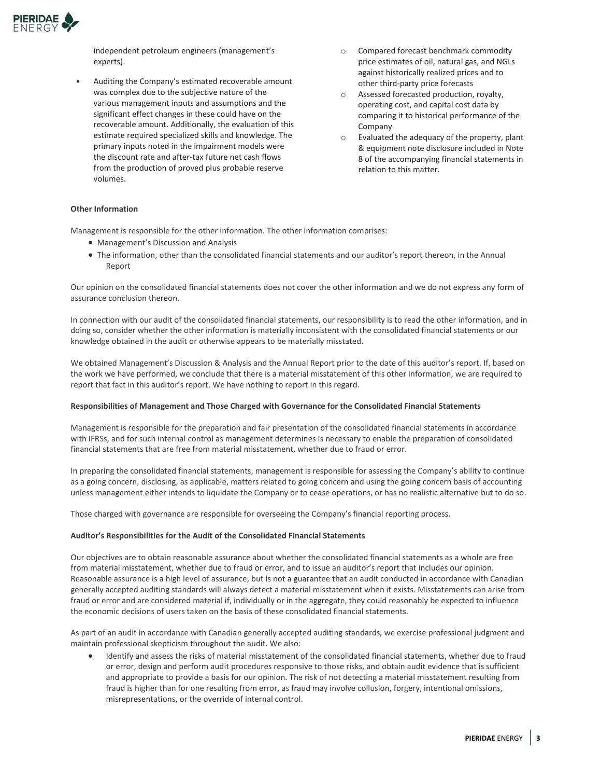

independent petroleum engineers (management's experts).

- Auditing the Company's estimated recoverable amount was complex due to the subjective nature of the various management inputs and assumptions and the significant effect changes in these could have on the recoverable amount. Additionally, the evaluation of this estimate required specialized skills and knowledge. The primary inputs noted in the impairment models were the discount rate and after-tax future net cash flows from the production of proved plus probable reserve volumes.
- o Compared forecast benchmark commodity price estimates of oil, natural gas, and NGLs against historically realized prices and to other third-party price forecasts
- o Assessed forecasted production, royalty, operating cost, and capital cost data by comparing it to historical performance of the Company
- o Evaluated the adequacy of the property, plant & equipment note disclosure included in Note 8 of the accompanying financial statements in relation to this matter.

# **Other Information**

Management is responsible for the other information. The other information comprises:

- Management's Discussion and Analysis
- The information, other than the consolidated financial statements and our auditor's report thereon, in the Annual Report

Our opinion on the consolidated financial statements does not cover the other information and we do not express any form of assurance conclusion thereon.

In connection with our audit of the consolidated financial statements, our responsibility is to read the other information, and in doing so, consider whether the other information is materially inconsistent with the consolidated financial statements or our knowledge obtained in the audit or otherwise appears to be materially misstated.

We obtained Management's Discussion & Analysis and the Annual Report prior to the date of this auditor's report. If, based on the work we have performed, we conclude that there is a material misstatement of this other information, we are required to report that fact in this auditor's report. We have nothing to report in this regard.

# **Responsibilities of Management and Those Charged with Governance for the Consolidated Financial Statements**

Management is responsible for the preparation and fair presentation of the consolidated financial statements in accordance with IFRSs, and for such internal control as management determines is necessary to enable the preparation of consolidated financial statements that are free from material misstatement, whether due to fraud or error.

In preparing the consolidated financial statements, management is responsible for assessing the Company's ability to continue as a going concern, disclosing, as applicable, matters related to going concern and using the going concern basis of accounting unless management either intends to liquidate the Company or to cease operations, or has no realistic alternative but to do so.

Those charged with governance are responsible for overseeing the Company's financial reporting process.

# **Auditor's Responsibilities for the Audit of the Consolidated Financial Statements**

Our objectives are to obtain reasonable assurance about whether the consolidated financial statements as a whole are free from material misstatement, whether due to fraud or error, and to issue an auditor's report that includes our opinion. Reasonable assurance is a high level of assurance, but is not a guarantee that an audit conducted in accordance with Canadian generally accepted auditing standards will always detect a material misstatement when it exists. Misstatements can arise from fraud or error and are considered material if, individually or in the aggregate, they could reasonably be expected to influence the economic decisions of users taken on the basis of these consolidated financial statements.

As part of an audit in accordance with Canadian generally accepted auditing standards, we exercise professional judgment and maintain professional skepticism throughout the audit. We also:

• Identify and assess the risks of material misstatement of the consolidated financial statements, whether due to fraud or error, design and perform audit procedures responsive to those risks, and obtain audit evidence that is sufficient and appropriate to provide a basis for our opinion. The risk of not detecting a material misstatement resulting from fraud is higher than for one resulting from error, as fraud may involve collusion, forgery, intentional omissions, misrepresentations, or the override of internal control.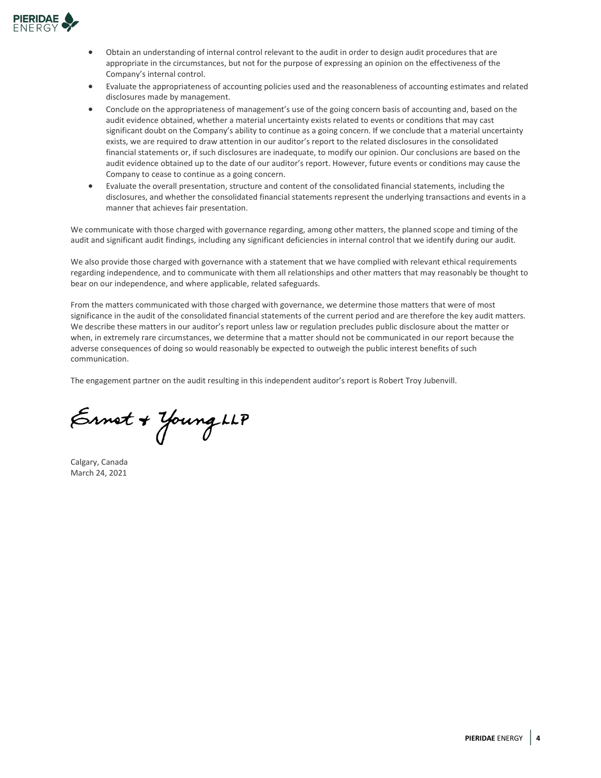

- Obtain an understanding of internal control relevant to the audit in order to design audit procedures that are appropriate in the circumstances, but not for the purpose of expressing an opinion on the effectiveness of the Company's internal control.
- Evaluate the appropriateness of accounting policies used and the reasonableness of accounting estimates and related disclosures made by management.
- Conclude on the appropriateness of management's use of the going concern basis of accounting and, based on the audit evidence obtained, whether a material uncertainty exists related to events or conditions that may cast significant doubt on the Company's ability to continue as a going concern. If we conclude that a material uncertainty exists, we are required to draw attention in our auditor's report to the related disclosures in the consolidated financial statements or, if such disclosures are inadequate, to modify our opinion. Our conclusions are based on the audit evidence obtained up to the date of our auditor's report. However, future events or conditions may cause the Company to cease to continue as a going concern.
- Evaluate the overall presentation, structure and content of the consolidated financial statements, including the disclosures, and whether the consolidated financial statements represent the underlying transactions and events in a manner that achieves fair presentation.

We communicate with those charged with governance regarding, among other matters, the planned scope and timing of the audit and significant audit findings, including any significant deficiencies in internal control that we identify during our audit.

We also provide those charged with governance with a statement that we have complied with relevant ethical requirements regarding independence, and to communicate with them all relationships and other matters that may reasonably be thought to bear on our independence, and where applicable, related safeguards.

From the matters communicated with those charged with governance, we determine those matters that were of most significance in the audit of the consolidated financial statements of the current period and are therefore the key audit matters. We describe these matters in our auditor's report unless law or regulation precludes public disclosure about the matter or when, in extremely rare circumstances, we determine that a matter should not be communicated in our report because the adverse consequences of doing so would reasonably be expected to outweigh the public interest benefits of such communication.

The engagement partner on the audit resulting in this independent auditor's report is Robert Troy Jubenvill.

Ernet + Young LLP

Calgary, Canada March 24, 2021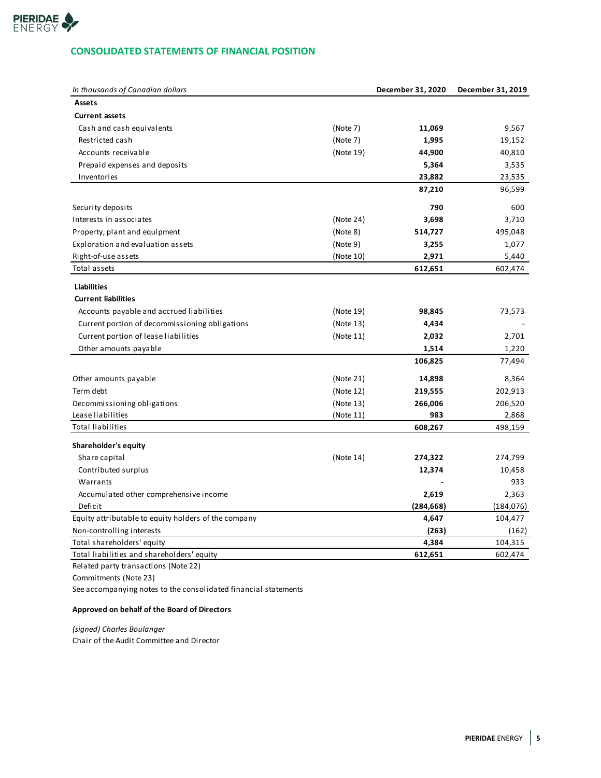

# **CONSOLIDATED STATEMENTS OF FINANCIAL POSITION**

| In thousands of Canadian dollars                            | December 31, 2020 | December 31, 2019 |
|-------------------------------------------------------------|-------------------|-------------------|
| Assets                                                      |                   |                   |
| <b>Current assets</b>                                       |                   |                   |
| Cash and cash equivalents<br>(Note 7)                       | 11,069            | 9,567             |
| (Note 7)<br>Restricted cash                                 | 1,995             | 19,152            |
| (Note 19)<br>Accounts receivable                            | 44,900            | 40,810            |
| Prepaid expenses and deposits                               | 5,364             | 3,535             |
| Inventories                                                 | 23,882            | 23,535            |
|                                                             | 87,210            | 96,599            |
| Security deposits                                           | 790               | 600               |
| Interests in associates<br>(Note 24)                        | 3,698             | 3,710             |
| Property, plant and equipment<br>(Note 8)                   | 514,727           | 495,048           |
| (Note 9)<br>Exploration and evaluation assets               | 3,255             | 1,077             |
| Right-of-use assets<br>(Note 10)                            | 2,971             | 5,440             |
| Total assets                                                | 612,651           | 602,474           |
|                                                             |                   |                   |
| <b>Liabilities</b>                                          |                   |                   |
| <b>Current liabilities</b>                                  |                   |                   |
| Accounts payable and accrued liabilities<br>(Note 19)       | 98,845            | 73,573            |
| Current portion of decommissioning obligations<br>(Note 13) | 4,434             |                   |
| Current portion of lease liabilities<br>(Note 11)           | 2,032             | 2,701             |
| Other amounts payable                                       | 1,514             | 1,220             |
|                                                             | 106,825           | 77,494            |
| (Note 21)<br>Other amounts payable                          | 14,898            | 8,364             |
| Term debt<br>(Note 12)                                      | 219,555           | 202,913           |
| (Note 13)<br>Decommissioning obligations                    | 266,006           | 206,520           |
| Lease liabilities<br>(Note 11)                              | 983               | 2,868             |
| <b>Total liabilities</b>                                    | 608,267           | 498,159           |
| Shareholder's equity                                        |                   |                   |
| (Note 14)<br>Share capital                                  | 274,322           | 274,799           |
| Contributed surplus                                         | 12,374            | 10,458            |
| Warrants                                                    |                   | 933               |
| Accumulated other comprehensive income                      | 2,619             | 2,363             |
| Deficit                                                     | (284,668)         | (184, 076)        |
| Equity attributable to equity holders of the company        | 4,647             | 104,477           |
| Non-controlling interests                                   | (263)             | (162)             |
| Total shareholders' equity                                  | 4,384             | 104,315           |
| Total liabilities and shareholders' equity                  | 612,651           | 602,474           |
| Related party transactions (Note 22)                        |                   |                   |

Commitments (Note 23)

See accompanying notes to the consolidated financial statements

# **Approved on behalf of the Board of Directors**

*(signed) Charles Boulanger* Chair of the Audit Committee and Director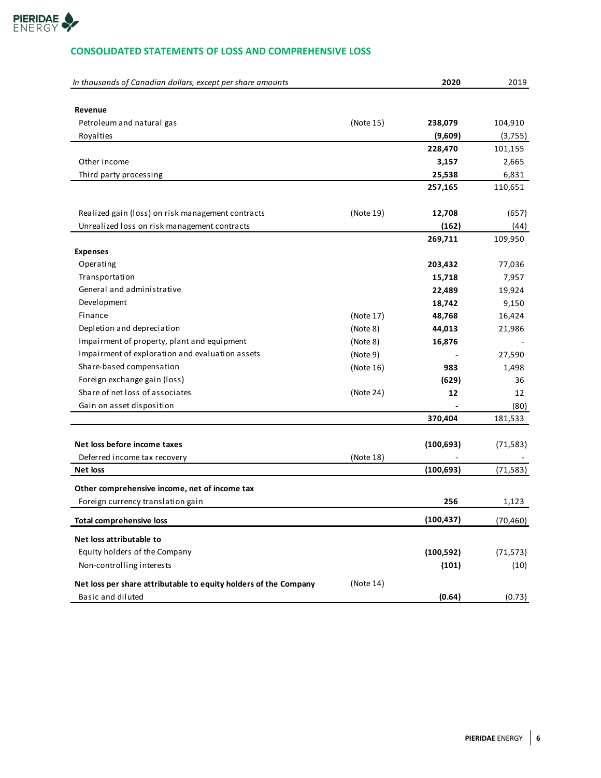

# **CONSOLIDATED STATEMENTS OF LOSS AND COMPREHENSIVE LOSS**

| In thousands of Canadian dollars, except per share amounts       |           | 2020       | 2019      |
|------------------------------------------------------------------|-----------|------------|-----------|
|                                                                  |           |            |           |
| Revenue                                                          |           |            |           |
| Petroleum and natural gas                                        | (Note 15) | 238,079    | 104,910   |
| Royalties                                                        |           | (9,609)    | (3,755)   |
|                                                                  |           | 228,470    | 101,155   |
| Other income                                                     |           | 3,157      | 2,665     |
| Third party processing                                           |           | 25,538     | 6,831     |
|                                                                  |           | 257,165    | 110,651   |
| Realized gain (loss) on risk management contracts                | (Note 19) | 12,708     | (657)     |
| Unrealized loss on risk management contracts                     |           | (162)      | (44)      |
|                                                                  |           | 269,711    | 109,950   |
| <b>Expenses</b>                                                  |           |            |           |
| Operating                                                        |           | 203,432    | 77,036    |
| Transportation                                                   |           | 15,718     | 7,957     |
| General and administrative                                       |           | 22,489     | 19,924    |
| <b>Development</b>                                               |           | 18,742     | 9,150     |
| Finance                                                          | (Note 17) | 48,768     | 16,424    |
| Depletion and depreciation                                       | (Note 8)  | 44,013     | 21,986    |
| Impairment of property, plant and equipment                      | (Note 8)  | 16,876     |           |
| Impairment of exploration and evaluation assets                  | (Note 9)  |            | 27,590    |
| Share-based compensation                                         | (Note 16) | 983        | 1,498     |
| Foreign exchange gain (loss)                                     |           | (629)      | 36        |
| Share of net loss of associates                                  | (Note 24) | 12         | 12        |
| Gain on asset disposition                                        |           |            | (80)      |
|                                                                  |           | 370,404    | 181,533   |
| Net loss before income taxes                                     |           | (100, 693) | (71, 583) |
|                                                                  | (Note 18) |            |           |
| Deferred income tax recovery<br>Net loss                         |           | (100, 693) | (71, 583) |
| Other comprehensive income, net of income tax                    |           |            |           |
| Foreign currency translation gain                                |           | 256        | 1,123     |
| <b>Total comprehensive loss</b>                                  |           | (100, 437) | (70, 460) |
|                                                                  |           |            |           |
| Net loss attributable to                                         |           |            |           |
| Equity holders of the Company                                    |           | (100, 592) | (71, 573) |
| Non-controlling interests                                        |           | (101)      | (10)      |
| Net loss per share attributable to equity holders of the Company | (Note 14) |            |           |
| Basic and diluted                                                |           | (0.64)     | (0.73)    |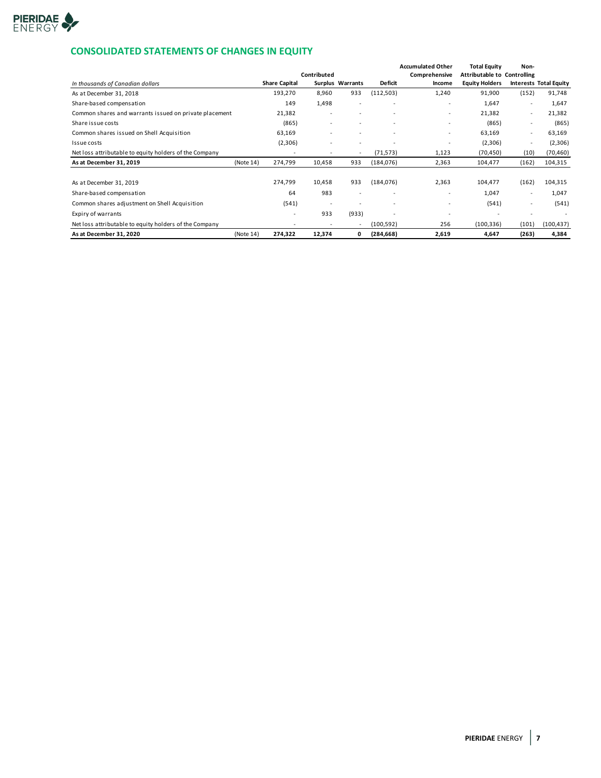

# **CONSOLIDATED STATEMENTS OF CHANGES IN EQUITY**

|                                                        |           |                          |                          |                          |                          | <b>Accumulated Other</b> | <b>Total Equity</b>                | Non-                     |                               |
|--------------------------------------------------------|-----------|--------------------------|--------------------------|--------------------------|--------------------------|--------------------------|------------------------------------|--------------------------|-------------------------------|
|                                                        |           |                          | Contributed              |                          |                          | Comprehensive            | <b>Attributable to Controlling</b> |                          |                               |
| In thousands of Canadian dollars                       |           | <b>Share Capital</b>     |                          | Surplus Warrants         | <b>Deficit</b>           | Income                   | <b>Equity Holders</b>              |                          | <b>Interests Total Equity</b> |
| As at December 31, 2018                                |           | 193,270                  | 8,960                    | 933                      | (112, 503)               | 1,240                    | 91,900                             | (152)                    | 91,748                        |
| Share-based compensation                               |           | 149                      | 1,498                    | ٠                        | $\overline{\phantom{a}}$ | ٠                        | 1,647                              | $\sim$                   | 1,647                         |
| Common shares and warrants issued on private placement |           | 21,382                   |                          | $\overline{\phantom{a}}$ | $\overline{\phantom{a}}$ | $\overline{\phantom{a}}$ | 21,382                             | $\sim$                   | 21,382                        |
| Share issue costs                                      |           | (865)                    |                          |                          | ٠                        | $\overline{\phantom{a}}$ | (865)                              |                          | (865)                         |
| Common shares issued on Shell Acquisition              |           | 63,169                   |                          |                          | ٠                        | $\overline{\phantom{a}}$ | 63,169                             | $\sim$                   | 63,169                        |
| Issue costs                                            |           | (2,306)                  |                          | $\overline{\phantom{a}}$ | $\overline{\phantom{a}}$ | $\overline{\phantom{a}}$ | (2,306)                            | $\sim$                   | (2,306)                       |
| Net loss attributable to equity holders of the Company |           |                          |                          | $\overline{\phantom{a}}$ | (71, 573)                | 1,123                    | (70, 450)                          | (10)                     | (70, 460)                     |
| As at December 31, 2019                                | (Note 14) | 274,799                  | 10,458                   | 933                      | (184, 076)               | 2,363                    | 104,477                            | (162)                    | 104,315                       |
|                                                        |           |                          |                          |                          |                          |                          |                                    |                          |                               |
| As at December 31, 2019                                |           | 274,799                  | 10,458                   | 933                      | (184, 076)               | 2,363                    | 104,477                            | (162)                    | 104,315                       |
| Share-based compensation                               |           | 64                       | 983                      |                          | $\overline{\phantom{a}}$ | $\overline{\phantom{a}}$ | 1,047                              |                          | 1,047                         |
| Common shares adjustment on Shell Acquisition          |           | (541)                    | $\overline{\phantom{a}}$ |                          | ٠                        | $\overline{\phantom{a}}$ | (541)                              | $\overline{\phantom{a}}$ | (541)                         |
| Expiry of warrants                                     |           | $\overline{\phantom{a}}$ | 933                      | (933)                    | ٠                        | $\overline{\phantom{a}}$ | $\overline{\phantom{a}}$           |                          |                               |
| Net loss attributable to equity holders of the Company |           |                          |                          | $\sim$                   | (100, 592)               | 256                      | (100, 336)                         | (101)                    | (100, 437)                    |
| As at December 31, 2020                                | (Note 14) | 274,322                  | 12,374                   | 0                        | (284, 668)               | 2,619                    | 4,647                              | (263)                    | 4,384                         |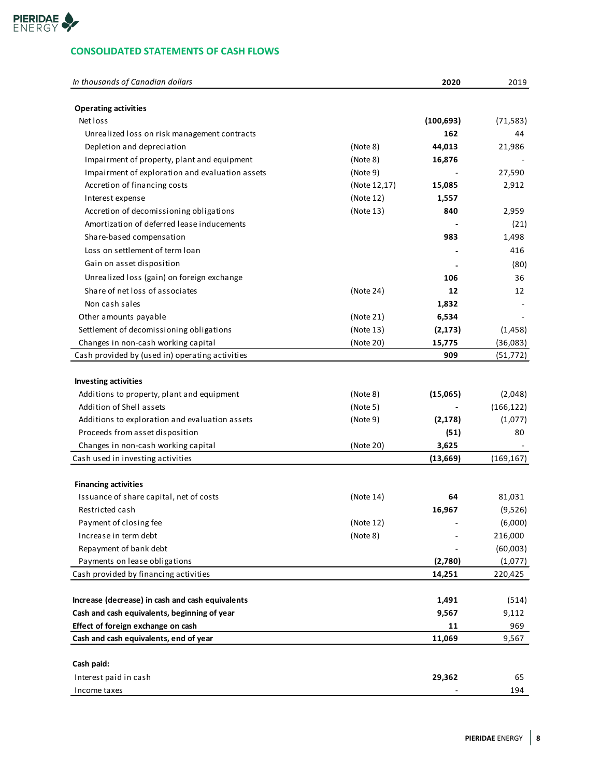

# **CONSOLIDATED STATEMENTS OF CASH FLOWS**

| In thousands of Canadian dollars                 |              | 2020       | 2019       |
|--------------------------------------------------|--------------|------------|------------|
| <b>Operating activities</b>                      |              |            |            |
| Net loss                                         |              | (100, 693) | (71, 583)  |
| Unrealized loss on risk management contracts     |              | 162        | 44         |
| Depletion and depreciation                       | (Note 8)     | 44,013     | 21,986     |
| Impairment of property, plant and equipment      | (Note 8)     | 16,876     |            |
| Impairment of exploration and evaluation assets  | (Note 9)     |            | 27,590     |
| Accretion of financing costs                     | (Note 12,17) | 15,085     | 2,912      |
| Interest expense                                 | (Note 12)    | 1,557      |            |
| Accretion of decomissioning obligations          | (Note 13)    | 840        | 2,959      |
| Amortization of deferred lease inducements       |              |            | (21)       |
| Share-based compensation                         |              | 983        | 1,498      |
| Loss on settlement of term loan                  |              |            | 416        |
| Gain on asset disposition                        |              |            | (80)       |
| Unrealized loss (gain) on foreign exchange       |              |            |            |
|                                                  |              | 106        | 36         |
| Share of net loss of associates                  | (Note 24)    | 12         | 12         |
| Non cash sales                                   |              | 1,832      |            |
| Other amounts payable                            | (Note 21)    | 6,534      |            |
| Settlement of decomissioning obligations         | (Note 13)    | (2, 173)   | (1, 458)   |
| Changes in non-cash working capital              | (Note 20)    | 15,775     | (36,083)   |
| Cash provided by (used in) operating activities  |              | 909        | (51, 772)  |
|                                                  |              |            |            |
| <b>Investing activities</b>                      |              |            |            |
| Additions to property, plant and equipment       | (Note 8)     | (15,065)   | (2,048)    |
| Addition of Shell assets                         | (Note 5)     |            | (166, 122) |
| Additions to exploration and evaluation assets   | (Note 9)     | (2, 178)   | (1,077)    |
| Proceeds from asset disposition                  |              | (51)       | 80         |
| Changes in non-cash working capital              | (Note 20)    | 3,625      |            |
| Cash used in investing activities                |              | (13,669)   | (169, 167) |
|                                                  |              |            |            |
| <b>Financing activities</b>                      |              |            |            |
| Issuance of share capital, net of costs          | (Note 14)    | 64         | 81,031     |
| Restricted cash                                  |              | 16,967     | (9,526)    |
| Payment of closing fee                           | (Note 12)    |            | (6,000)    |
| Increase in term debt                            | (Note 8)     |            | 216,000    |
| Repayment of bank debt                           |              |            | (60,003)   |
| Payments on lease obligations                    |              | (2,780)    | (1,077)    |
| Cash provided by financing activities            |              | 14,251     | 220,425    |
| Increase (decrease) in cash and cash equivalents |              | 1,491      | (514)      |
| Cash and cash equivalents, beginning of year     |              | 9,567      | 9,112      |
| Effect of foreign exchange on cash               |              | 11         | 969        |
| Cash and cash equivalents, end of year           |              | 11,069     | 9,567      |
|                                                  |              |            |            |
| Cash paid:                                       |              |            |            |
| Interest paid in cash                            |              | 29,362     | 65         |
| Income taxes                                     |              |            | 194        |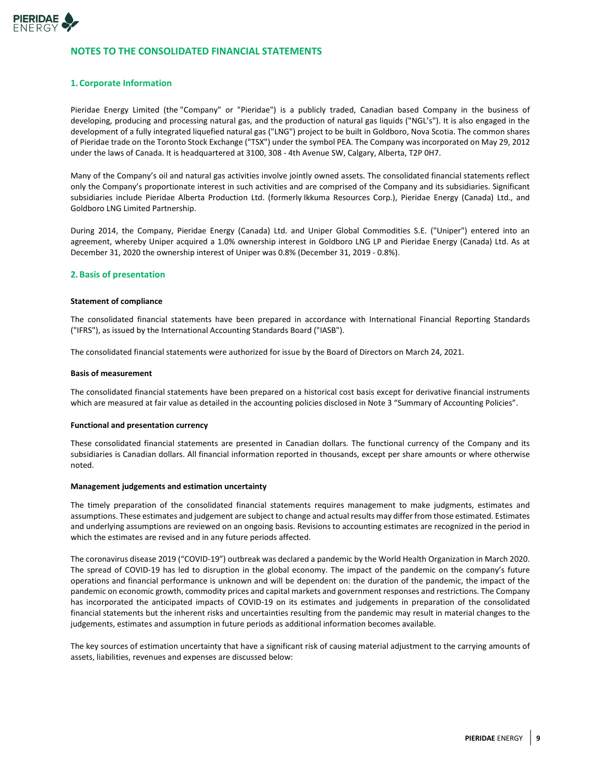

# **NOTES TO THE CONSOLIDATED FINANCIAL STATEMENTS**

# **1.Corporate Information**

Pieridae Energy Limited (the "Company" or "Pieridae") is a publicly traded, Canadian based Company in the business of developing, producing and processing natural gas, and the production of natural gas liquids ("NGL's"). It is also engaged in the development of a fully integrated liquefied natural gas ("LNG") project to be built in Goldboro, Nova Scotia. The common shares of Pieridae trade on the Toronto Stock Exchange ("TSX") under the symbol PEA. The Company was incorporated on May 29, 2012 under the laws of Canada. It is headquartered at 3100, 308 - 4th Avenue SW, Calgary, Alberta, T2P 0H7.

Many of the Company's oil and natural gas activities involve jointly owned assets. The consolidated financial statements reflect only the Company's proportionate interest in such activities and are comprised of the Company and its subsidiaries. Significant subsidiaries include Pieridae Alberta Production Ltd. (formerly Ikkuma Resources Corp.), Pieridae Energy (Canada) Ltd., and Goldboro LNG Limited Partnership.

During 2014, the Company, Pieridae Energy (Canada) Ltd. and Uniper Global Commodities S.E. ("Uniper") entered into an agreement, whereby Uniper acquired a 1.0% ownership interest in Goldboro LNG LP and Pieridae Energy (Canada) Ltd. As at December 31, 2020 the ownership interest of Uniper was 0.8% (December 31, 2019 - 0.8%).

# **2.Basis of presentation**

# **Statement of compliance**

The consolidated financial statements have been prepared in accordance with International Financial Reporting Standards ("IFRS"), as issued by the International Accounting Standards Board ("IASB").

The consolidated financial statements were authorized for issue by the Board of Directors on March 24, 2021.

#### **Basis of measurement**

The consolidated financial statements have been prepared on a historical cost basis except for derivative financial instruments which are measured at fair value as detailed in the accounting policies disclosed in Note 3 "Summary of Accounting Policies".

#### **Functional and presentation currency**

These consolidated financial statements are presented in Canadian dollars. The functional currency of the Company and its subsidiaries is Canadian dollars. All financial information reported in thousands, except per share amounts or where otherwise noted.

#### **Management judgements and estimation uncertainty**

The timely preparation of the consolidated financial statements requires management to make judgments, estimates and assumptions. These estimates and judgement are subject to change and actual results may differ from those estimated. Estimates and underlying assumptions are reviewed on an ongoing basis. Revisions to accounting estimates are recognized in the period in which the estimates are revised and in any future periods affected.

The coronavirus disease 2019 ("COVID-19") outbreak was declared a pandemic by the World Health Organization in March 2020. The spread of COVID-19 has led to disruption in the global economy. The impact of the pandemic on the company's future operations and financial performance is unknown and will be dependent on: the duration of the pandemic, the impact of the pandemic on economic growth, commodity prices and capital markets and government responses and restrictions. The Company has incorporated the anticipated impacts of COVID-19 on its estimates and judgements in preparation of the consolidated financial statements but the inherent risks and uncertainties resulting from the pandemic may result in material changes to the judgements, estimates and assumption in future periods as additional information becomes available.

The key sources of estimation uncertainty that have a significant risk of causing material adjustment to the carrying amounts of assets, liabilities, revenues and expenses are discussed below: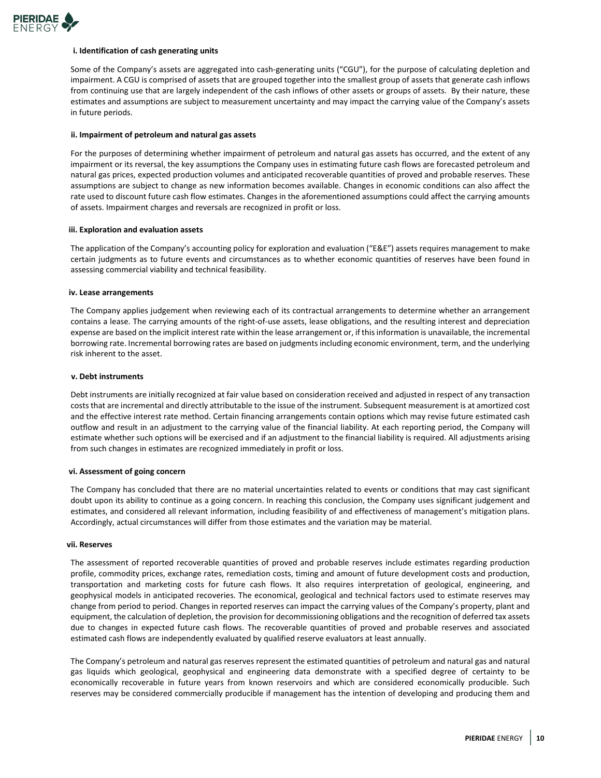

#### **i. Identification of cash generating units**

Some of the Company's assets are aggregated into cash-generating units ("CGU"), for the purpose of calculating depletion and impairment. A CGU is comprised of assets that are grouped together into the smallest group of assets that generate cash inflows from continuing use that are largely independent of the cash inflows of other assets or groups of assets. By their nature, these estimates and assumptions are subject to measurement uncertainty and may impact the carrying value of the Company's assets in future periods.

### **ii. Impairment of petroleum and natural gas assets**

For the purposes of determining whether impairment of petroleum and natural gas assets has occurred, and the extent of any impairment or its reversal, the key assumptions the Company uses in estimating future cash flows are forecasted petroleum and natural gas prices, expected production volumes and anticipated recoverable quantities of proved and probable reserves. These assumptions are subject to change as new information becomes available. Changes in economic conditions can also affect the rate used to discount future cash flow estimates. Changes in the aforementioned assumptions could affect the carrying amounts of assets. Impairment charges and reversals are recognized in profit or loss.

#### **iii. Exploration and evaluation assets**

The application of the Company's accounting policy for exploration and evaluation ("E&E") assets requires management to make certain judgments as to future events and circumstances as to whether economic quantities of reserves have been found in assessing commercial viability and technical feasibility.

#### **iv. Lease arrangements**

The Company applies judgement when reviewing each of its contractual arrangements to determine whether an arrangement contains a lease. The carrying amounts of the right-of-use assets, lease obligations, and the resulting interest and depreciation expense are based on the implicit interest rate within the lease arrangement or, if this information is unavailable, the incremental borrowing rate. Incremental borrowing rates are based on judgments including economic environment, term, and the underlying risk inherent to the asset.

# **v. Debt instruments**

Debt instruments are initially recognized at fair value based on consideration received and adjusted in respect of any transaction costs that are incremental and directly attributable to the issue of the instrument. Subsequent measurement is at amortized cost and the effective interest rate method. Certain financing arrangements contain options which may revise future estimated cash outflow and result in an adjustment to the carrying value of the financial liability. At each reporting period, the Company will estimate whether such options will be exercised and if an adjustment to the financial liability is required. All adjustments arising from such changes in estimates are recognized immediately in profit or loss.

# **vi. Assessment of going concern**

The Company has concluded that there are no material uncertainties related to events or conditions that may cast significant doubt upon its ability to continue as a going concern. In reaching this conclusion, the Company uses significant judgement and estimates, and considered all relevant information, including feasibility of and effectiveness of management's mitigation plans. Accordingly, actual circumstances will differ from those estimates and the variation may be material.

#### **vii. Reserves**

The assessment of reported recoverable quantities of proved and probable reserves include estimates regarding production profile, commodity prices, exchange rates, remediation costs, timing and amount of future development costs and production, transportation and marketing costs for future cash flows. It also requires interpretation of geological, engineering, and geophysical models in anticipated recoveries. The economical, geological and technical factors used to estimate reserves may change from period to period. Changes in reported reserves can impact the carrying values of the Company's property, plant and equipment, the calculation of depletion, the provision for decommissioning obligations and the recognition of deferred tax assets due to changes in expected future cash flows. The recoverable quantities of proved and probable reserves and associated estimated cash flows are independently evaluated by qualified reserve evaluators at least annually.

The Company's petroleum and natural gas reserves represent the estimated quantities of petroleum and natural gas and natural gas liquids which geological, geophysical and engineering data demonstrate with a specified degree of certainty to be economically recoverable in future years from known reservoirs and which are considered economically producible. Such reserves may be considered commercially producible if management has the intention of developing and producing them and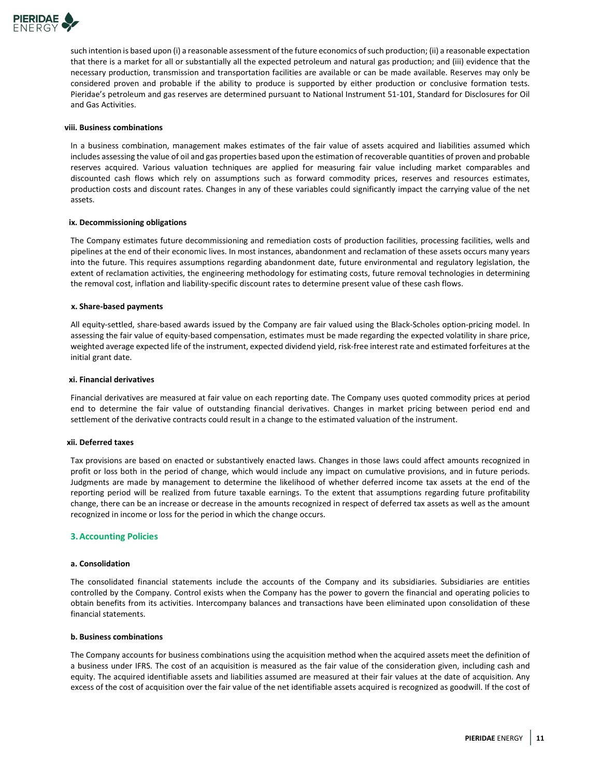

such intention is based upon (i) a reasonable assessment of the future economics of such production; (ii) a reasonable expectation that there is a market for all or substantially all the expected petroleum and natural gas production; and (iii) evidence that the necessary production, transmission and transportation facilities are available or can be made available. Reserves may only be considered proven and probable if the ability to produce is supported by either production or conclusive formation tests. Pieridae's petroleum and gas reserves are determined pursuant to National Instrument 51-101, Standard for Disclosures for Oil and Gas Activities.

#### **viii. Business combinations**

In a business combination, management makes estimates of the fair value of assets acquired and liabilities assumed which includes assessing the value of oil and gas properties based upon the estimation of recoverable quantities of proven and probable reserves acquired. Various valuation techniques are applied for measuring fair value including market comparables and discounted cash flows which rely on assumptions such as forward commodity prices, reserves and resources estimates, production costs and discount rates. Changes in any of these variables could significantly impact the carrying value of the net assets.

#### **ix. Decommissioning obligations**

The Company estimates future decommissioning and remediation costs of production facilities, processing facilities, wells and pipelines at the end of their economic lives. In most instances, abandonment and reclamation of these assets occurs many years into the future. This requires assumptions regarding abandonment date, future environmental and regulatory legislation, the extent of reclamation activities, the engineering methodology for estimating costs, future removal technologies in determining the removal cost, inflation and liability-specific discount rates to determine present value of these cash flows.

#### **x. Share-based payments**

All equity-settled, share-based awards issued by the Company are fair valued using the Black-Scholes option-pricing model. In assessing the fair value of equity-based compensation, estimates must be made regarding the expected volatility in share price, weighted average expected life of the instrument, expected dividend yield, risk-free interest rate and estimated forfeitures at the initial grant date.

# **xi. Financial derivatives**

Financial derivatives are measured at fair value on each reporting date. The Company uses quoted commodity prices at period end to determine the fair value of outstanding financial derivatives. Changes in market pricing between period end and settlement of the derivative contracts could result in a change to the estimated valuation of the instrument.

# **xii. Deferred taxes**

Tax provisions are based on enacted or substantively enacted laws. Changes in those laws could affect amounts recognized in profit or loss both in the period of change, which would include any impact on cumulative provisions, and in future periods. Judgments are made by management to determine the likelihood of whether deferred income tax assets at the end of the reporting period will be realized from future taxable earnings. To the extent that assumptions regarding future profitability change, there can be an increase or decrease in the amounts recognized in respect of deferred tax assets as well as the amount recognized in income or loss for the period in which the change occurs.

# **3.Accounting Policies**

#### **a. Consolidation**

The consolidated financial statements include the accounts of the Company and its subsidiaries. Subsidiaries are entities controlled by the Company. Control exists when the Company has the power to govern the financial and operating policies to obtain benefits from its activities. Intercompany balances and transactions have been eliminated upon consolidation of these financial statements.

#### **b. Business combinations**

The Company accounts for business combinations using the acquisition method when the acquired assets meet the definition of a business under IFRS. The cost of an acquisition is measured as the fair value of the consideration given, including cash and equity. The acquired identifiable assets and liabilities assumed are measured at their fair values at the date of acquisition. Any excess of the cost of acquisition over the fair value of the net identifiable assets acquired is recognized as goodwill. If the cost of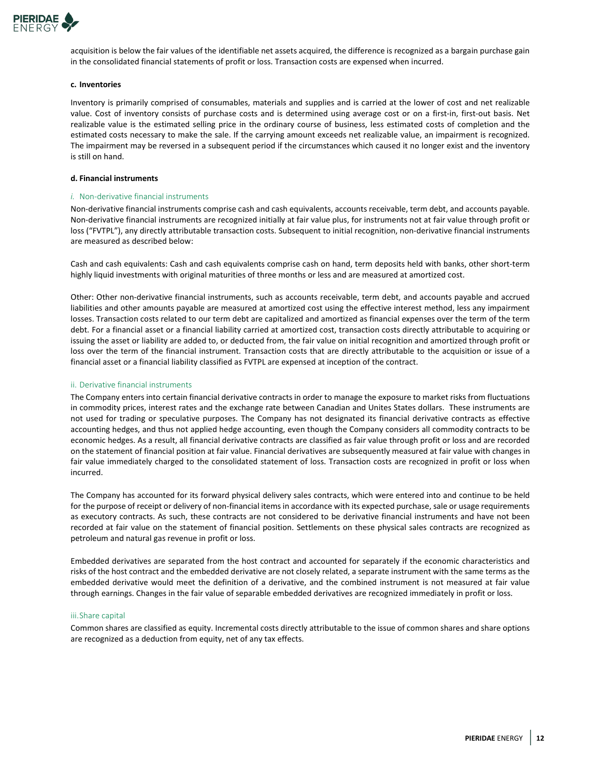

acquisition is below the fair values of the identifiable net assets acquired, the difference is recognized as a bargain purchase gain in the consolidated financial statements of profit or loss. Transaction costs are expensed when incurred.

#### **c. Inventories**

Inventory is primarily comprised of consumables, materials and supplies and is carried at the lower of cost and net realizable value. Cost of inventory consists of purchase costs and is determined using average cost or on a first-in, first-out basis. Net realizable value is the estimated selling price in the ordinary course of business, less estimated costs of completion and the estimated costs necessary to make the sale. If the carrying amount exceeds net realizable value, an impairment is recognized. The impairment may be reversed in a subsequent period if the circumstances which caused it no longer exist and the inventory is still on hand.

#### **d. Financial instruments**

#### *i.* Non-derivative financial instruments

Non-derivative financial instruments comprise cash and cash equivalents, accounts receivable, term debt, and accounts payable. Non-derivative financial instruments are recognized initially at fair value plus, for instruments not at fair value through profit or loss ("FVTPL"), any directly attributable transaction costs. Subsequent to initial recognition, non-derivative financial instruments are measured as described below:

Cash and cash equivalents: Cash and cash equivalents comprise cash on hand, term deposits held with banks, other short-term highly liquid investments with original maturities of three months or less and are measured at amortized cost.

Other: Other non-derivative financial instruments, such as accounts receivable, term debt, and accounts payable and accrued liabilities and other amounts payable are measured at amortized cost using the effective interest method, less any impairment losses. Transaction costs related to our term debt are capitalized and amortized as financial expenses over the term of the term debt. For a financial asset or a financial liability carried at amortized cost, transaction costs directly attributable to acquiring or issuing the asset or liability are added to, or deducted from, the fair value on initial recognition and amortized through profit or loss over the term of the financial instrument. Transaction costs that are directly attributable to the acquisition or issue of a financial asset or a financial liability classified as FVTPL are expensed at inception of the contract.

#### ii. Derivative financial instruments

The Company enters into certain financial derivative contracts in order to manage the exposure to market risks from fluctuations in commodity prices, interest rates and the exchange rate between Canadian and Unites States dollars. These instruments are not used for trading or speculative purposes. The Company has not designated its financial derivative contracts as effective accounting hedges, and thus not applied hedge accounting, even though the Company considers all commodity contracts to be economic hedges. As a result, all financial derivative contracts are classified as fair value through profit or loss and are recorded on the statement of financial position at fair value. Financial derivatives are subsequently measured at fair value with changes in fair value immediately charged to the consolidated statement of loss. Transaction costs are recognized in profit or loss when incurred.

The Company has accounted for its forward physical delivery sales contracts, which were entered into and continue to be held for the purpose of receipt or delivery of non-financial items in accordance with its expected purchase, sale or usage requirements as executory contracts. As such, these contracts are not considered to be derivative financial instruments and have not been recorded at fair value on the statement of financial position. Settlements on these physical sales contracts are recognized as petroleum and natural gas revenue in profit or loss.

Embedded derivatives are separated from the host contract and accounted for separately if the economic characteristics and risks of the host contract and the embedded derivative are not closely related, a separate instrument with the same terms as the embedded derivative would meet the definition of a derivative, and the combined instrument is not measured at fair value through earnings. Changes in the fair value of separable embedded derivatives are recognized immediately in profit or loss.

#### iii.Share capital

Common shares are classified as equity. Incremental costs directly attributable to the issue of common shares and share options are recognized as a deduction from equity, net of any tax effects.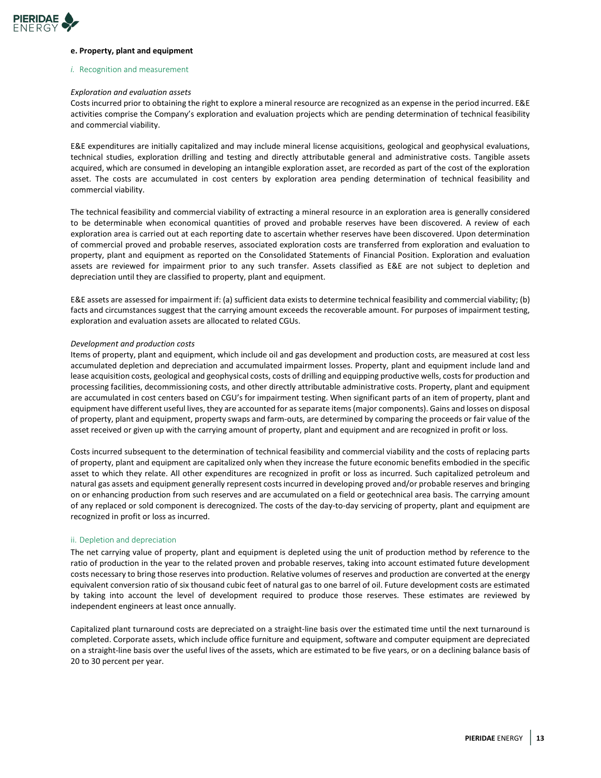

#### **e. Property, plant and equipment**

#### *i.* Recognition and measurement

#### *Exploration and evaluation assets*

Costs incurred prior to obtaining the right to explore a mineral resource are recognized as an expense in the period incurred. E&E activities comprise the Company's exploration and evaluation projects which are pending determination of technical feasibility and commercial viability.

E&E expenditures are initially capitalized and may include mineral license acquisitions, geological and geophysical evaluations, technical studies, exploration drilling and testing and directly attributable general and administrative costs. Tangible assets acquired, which are consumed in developing an intangible exploration asset, are recorded as part of the cost of the exploration asset. The costs are accumulated in cost centers by exploration area pending determination of technical feasibility and commercial viability.

The technical feasibility and commercial viability of extracting a mineral resource in an exploration area is generally considered to be determinable when economical quantities of proved and probable reserves have been discovered. A review of each exploration area is carried out at each reporting date to ascertain whether reserves have been discovered. Upon determination of commercial proved and probable reserves, associated exploration costs are transferred from exploration and evaluation to property, plant and equipment as reported on the Consolidated Statements of Financial Position. Exploration and evaluation assets are reviewed for impairment prior to any such transfer. Assets classified as E&E are not subject to depletion and depreciation until they are classified to property, plant and equipment.

E&E assets are assessed for impairment if: (a) sufficient data exists to determine technical feasibility and commercial viability; (b) facts and circumstances suggest that the carrying amount exceeds the recoverable amount. For purposes of impairment testing, exploration and evaluation assets are allocated to related CGUs.

#### *Development and production costs*

Items of property, plant and equipment, which include oil and gas development and production costs, are measured at cost less accumulated depletion and depreciation and accumulated impairment losses. Property, plant and equipment include land and lease acquisition costs, geological and geophysical costs, costs of drilling and equipping productive wells, costs for production and processing facilities, decommissioning costs, and other directly attributable administrative costs. Property, plant and equipment are accumulated in cost centers based on CGU's for impairment testing. When significant parts of an item of property, plant and equipment have different useful lives, they are accounted for as separate items (major components). Gains and losses on disposal of property, plant and equipment, property swaps and farm-outs, are determined by comparing the proceeds or fair value of the asset received or given up with the carrying amount of property, plant and equipment and are recognized in profit or loss.

Costs incurred subsequent to the determination of technical feasibility and commercial viability and the costs of replacing parts of property, plant and equipment are capitalized only when they increase the future economic benefits embodied in the specific asset to which they relate. All other expenditures are recognized in profit or loss as incurred. Such capitalized petroleum and natural gas assets and equipment generally represent costs incurred in developing proved and/or probable reserves and bringing on or enhancing production from such reserves and are accumulated on a field or geotechnical area basis. The carrying amount of any replaced or sold component is derecognized. The costs of the day-to-day servicing of property, plant and equipment are recognized in profit or loss as incurred.

# ii. Depletion and depreciation

The net carrying value of property, plant and equipment is depleted using the unit of production method by reference to the ratio of production in the year to the related proven and probable reserves, taking into account estimated future development costs necessary to bring those reserves into production. Relative volumes of reserves and production are converted at the energy equivalent conversion ratio of six thousand cubic feet of natural gas to one barrel of oil. Future development costs are estimated by taking into account the level of development required to produce those reserves. These estimates are reviewed by independent engineers at least once annually.

Capitalized plant turnaround costs are depreciated on a straight-line basis over the estimated time until the next turnaround is completed. Corporate assets, which include office furniture and equipment, software and computer equipment are depreciated on a straight-line basis over the useful lives of the assets, which are estimated to be five years, or on a declining balance basis of 20 to 30 percent per year.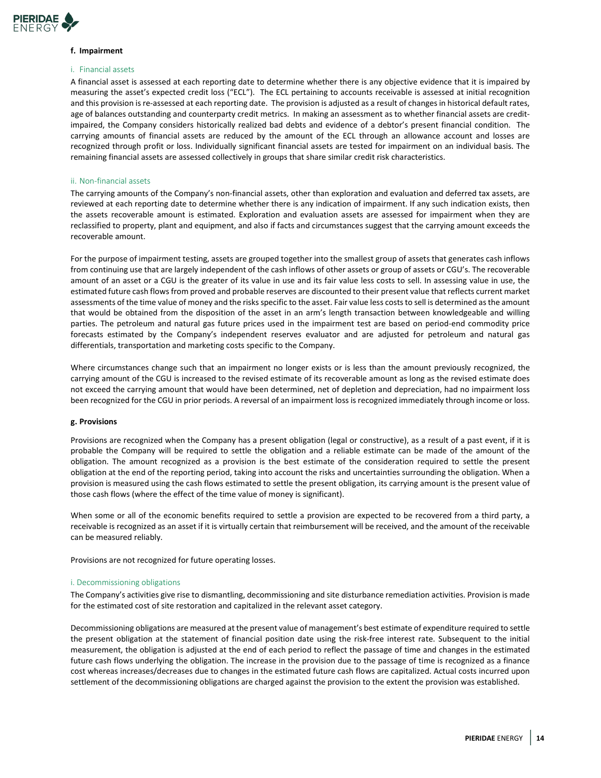

#### **f. Impairment**

#### i. Financial assets

A financial asset is assessed at each reporting date to determine whether there is any objective evidence that it is impaired by measuring the asset's expected credit loss ("ECL"). The ECL pertaining to accounts receivable is assessed at initial recognition and this provision is re-assessed at each reporting date. The provision is adjusted as a result of changes in historical default rates, age of balances outstanding and counterparty credit metrics. In making an assessment as to whether financial assets are creditimpaired, the Company considers historically realized bad debts and evidence of a debtor's present financial condition. The carrying amounts of financial assets are reduced by the amount of the ECL through an allowance account and losses are recognized through profit or loss. Individually significant financial assets are tested for impairment on an individual basis. The remaining financial assets are assessed collectively in groups that share similar credit risk characteristics.

### ii. Non-financial assets

The carrying amounts of the Company's non-financial assets, other than exploration and evaluation and deferred tax assets, are reviewed at each reporting date to determine whether there is any indication of impairment. If any such indication exists, then the assets recoverable amount is estimated. Exploration and evaluation assets are assessed for impairment when they are reclassified to property, plant and equipment, and also if facts and circumstances suggest that the carrying amount exceeds the recoverable amount.

For the purpose of impairment testing, assets are grouped together into the smallest group of assets that generates cash inflows from continuing use that are largely independent of the cash inflows of other assets or group of assets or CGU's. The recoverable amount of an asset or a CGU is the greater of its value in use and its fair value less costs to sell. In assessing value in use, the estimated future cash flows from proved and probable reserves are discounted to their present value that reflects current market assessments of the time value of money and the risks specific to the asset. Fair value less costs to sell is determined as the amount that would be obtained from the disposition of the asset in an arm's length transaction between knowledgeable and willing parties. The petroleum and natural gas future prices used in the impairment test are based on period-end commodity price forecasts estimated by the Company's independent reserves evaluator and are adjusted for petroleum and natural gas differentials, transportation and marketing costs specific to the Company.

Where circumstances change such that an impairment no longer exists or is less than the amount previously recognized, the carrying amount of the CGU is increased to the revised estimate of its recoverable amount as long as the revised estimate does not exceed the carrying amount that would have been determined, net of depletion and depreciation, had no impairment loss been recognized for the CGU in prior periods. A reversal of an impairment loss is recognized immediately through income or loss.

#### **g. Provisions**

Provisions are recognized when the Company has a present obligation (legal or constructive), as a result of a past event, if it is probable the Company will be required to settle the obligation and a reliable estimate can be made of the amount of the obligation. The amount recognized as a provision is the best estimate of the consideration required to settle the present obligation at the end of the reporting period, taking into account the risks and uncertainties surrounding the obligation. When a provision is measured using the cash flows estimated to settle the present obligation, its carrying amount is the present value of those cash flows (where the effect of the time value of money is significant).

When some or all of the economic benefits required to settle a provision are expected to be recovered from a third party, a receivable is recognized as an asset if it is virtually certain that reimbursement will be received, and the amount of the receivable can be measured reliably.

Provisions are not recognized for future operating losses.

# i. Decommissioning obligations

The Company's activities give rise to dismantling, decommissioning and site disturbance remediation activities. Provision is made for the estimated cost of site restoration and capitalized in the relevant asset category.

Decommissioning obligations are measured at the present value of management's best estimate of expenditure required to settle the present obligation at the statement of financial position date using the risk-free interest rate. Subsequent to the initial measurement, the obligation is adjusted at the end of each period to reflect the passage of time and changes in the estimated future cash flows underlying the obligation. The increase in the provision due to the passage of time is recognized as a finance cost whereas increases/decreases due to changes in the estimated future cash flows are capitalized. Actual costs incurred upon settlement of the decommissioning obligations are charged against the provision to the extent the provision was established.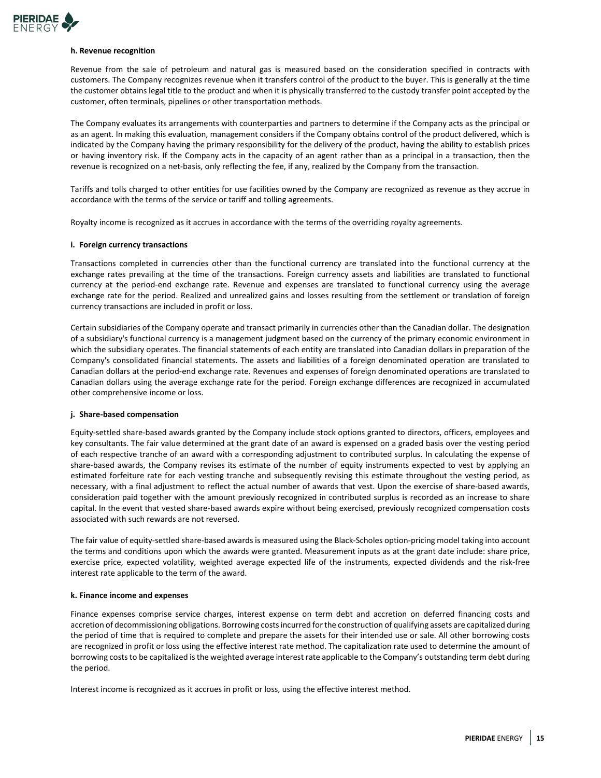

#### **h. Revenue recognition**

Revenue from the sale of petroleum and natural gas is measured based on the consideration specified in contracts with customers. The Company recognizes revenue when it transfers control of the product to the buyer. This is generally at the time the customer obtains legal title to the product and when it is physically transferred to the custody transfer point accepted by the customer, often terminals, pipelines or other transportation methods.

The Company evaluates its arrangements with counterparties and partners to determine if the Company acts as the principal or as an agent. In making this evaluation, management considers if the Company obtains control of the product delivered, which is indicated by the Company having the primary responsibility for the delivery of the product, having the ability to establish prices or having inventory risk. If the Company acts in the capacity of an agent rather than as a principal in a transaction, then the revenue is recognized on a net-basis, only reflecting the fee, if any, realized by the Company from the transaction.

Tariffs and tolls charged to other entities for use facilities owned by the Company are recognized as revenue as they accrue in accordance with the terms of the service or tariff and tolling agreements.

Royalty income is recognized as it accrues in accordance with the terms of the overriding royalty agreements.

# **i. Foreign currency transactions**

Transactions completed in currencies other than the functional currency are translated into the functional currency at the exchange rates prevailing at the time of the transactions. Foreign currency assets and liabilities are translated to functional currency at the period-end exchange rate. Revenue and expenses are translated to functional currency using the average exchange rate for the period. Realized and unrealized gains and losses resulting from the settlement or translation of foreign currency transactions are included in profit or loss.

Certain subsidiaries of the Company operate and transact primarily in currencies other than the Canadian dollar. The designation of a subsidiary's functional currency is a management judgment based on the currency of the primary economic environment in which the subsidiary operates. The financial statements of each entity are translated into Canadian dollars in preparation of the Company's consolidated financial statements. The assets and liabilities of a foreign denominated operation are translated to Canadian dollars at the period-end exchange rate. Revenues and expenses of foreign denominated operations are translated to Canadian dollars using the average exchange rate for the period. Foreign exchange differences are recognized in accumulated other comprehensive income or loss.

#### **j. Share-based compensation**

Equity-settled share-based awards granted by the Company include stock options granted to directors, officers, employees and key consultants. The fair value determined at the grant date of an award is expensed on a graded basis over the vesting period of each respective tranche of an award with a corresponding adjustment to contributed surplus. In calculating the expense of share-based awards, the Company revises its estimate of the number of equity instruments expected to vest by applying an estimated forfeiture rate for each vesting tranche and subsequently revising this estimate throughout the vesting period, as necessary, with a final adjustment to reflect the actual number of awards that vest. Upon the exercise of share-based awards, consideration paid together with the amount previously recognized in contributed surplus is recorded as an increase to share capital. In the event that vested share-based awards expire without being exercised, previously recognized compensation costs associated with such rewards are not reversed.

The fair value of equity-settled share-based awards is measured using the Black-Scholes option-pricing model taking into account the terms and conditions upon which the awards were granted. Measurement inputs as at the grant date include: share price, exercise price, expected volatility, weighted average expected life of the instruments, expected dividends and the risk-free interest rate applicable to the term of the award.

#### **k. Finance income and expenses**

Finance expenses comprise service charges, interest expense on term debt and accretion on deferred financing costs and accretion of decommissioning obligations. Borrowing costs incurred for the construction of qualifying assets are capitalized during the period of time that is required to complete and prepare the assets for their intended use or sale. All other borrowing costs are recognized in profit or loss using the effective interest rate method. The capitalization rate used to determine the amount of borrowing costs to be capitalized is the weighted average interest rate applicable to the Company's outstanding term debt during the period.

Interest income is recognized as it accrues in profit or loss, using the effective interest method.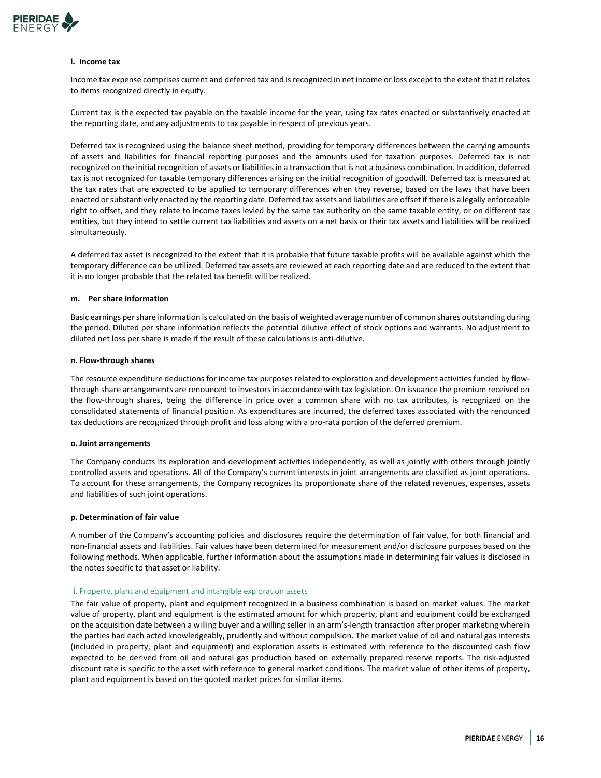

#### **l. Income tax**

Income tax expense comprises current and deferred tax and is recognized in net income or loss except to the extent that it relates to items recognized directly in equity.

Current tax is the expected tax payable on the taxable income for the year, using tax rates enacted or substantively enacted at the reporting date, and any adjustments to tax payable in respect of previous years.

Deferred tax is recognized using the balance sheet method, providing for temporary differences between the carrying amounts of assets and liabilities for financial reporting purposes and the amounts used for taxation purposes. Deferred tax is not recognized on the initial recognition of assets or liabilities in a transaction that is not a business combination. In addition, deferred tax is not recognized for taxable temporary differences arising on the initial recognition of goodwill. Deferred tax is measured at the tax rates that are expected to be applied to temporary differences when they reverse, based on the laws that have been enacted or substantively enacted by the reporting date. Deferred tax assets and liabilities are offset if there is a legally enforceable right to offset, and they relate to income taxes levied by the same tax authority on the same taxable entity, or on different tax entities, but they intend to settle current tax liabilities and assets on a net basis or their tax assets and liabilities will be realized simultaneously.

A deferred tax asset is recognized to the extent that it is probable that future taxable profits will be available against which the temporary difference can be utilized. Deferred tax assets are reviewed at each reporting date and are reduced to the extent that it is no longer probable that the related tax benefit will be realized.

### **m. Per share information**

Basic earnings per share information is calculated on the basis of weighted average number of common shares outstanding during the period. Diluted per share information reflects the potential dilutive effect of stock options and warrants. No adjustment to diluted net loss per share is made if the result of these calculations is anti-dilutive.

# **n. Flow-through shares**

The resource expenditure deductions for income tax purposes related to exploration and development activities funded by flowthrough share arrangements are renounced to investors in accordance with tax legislation. On issuance the premium received on the flow-through shares, being the difference in price over a common share with no tax attributes, is recognized on the consolidated statements of financial position. As expenditures are incurred, the deferred taxes associated with the renounced tax deductions are recognized through profit and loss along with a pro-rata portion of the deferred premium.

#### **o. Joint arrangements**

The Company conducts its exploration and development activities independently, as well as jointly with others through jointly controlled assets and operations. All of the Company's current interests in joint arrangements are classified as joint operations. To account for these arrangements, the Company recognizes its proportionate share of the related revenues, expenses, assets and liabilities of such joint operations.

#### **p. Determination of fair value**

A number of the Company's accounting policies and disclosures require the determination of fair value, for both financial and non-financial assets and liabilities. Fair values have been determined for measurement and/or disclosure purposes based on the following methods. When applicable, further information about the assumptions made in determining fair values is disclosed in the notes specific to that asset or liability.

#### i. Property, plant and equipment and intangible exploration assets

The fair value of property, plant and equipment recognized in a business combination is based on market values. The market value of property, plant and equipment is the estimated amount for which property, plant and equipment could be exchanged on the acquisition date between a willing buyer and a willing seller in an arm's-length transaction after proper marketing wherein the parties had each acted knowledgeably, prudently and without compulsion. The market value of oil and natural gas interests (included in property, plant and equipment) and exploration assets is estimated with reference to the discounted cash flow expected to be derived from oil and natural gas production based on externally prepared reserve reports. The risk-adjusted discount rate is specific to the asset with reference to general market conditions. The market value of other items of property, plant and equipment is based on the quoted market prices for similar items.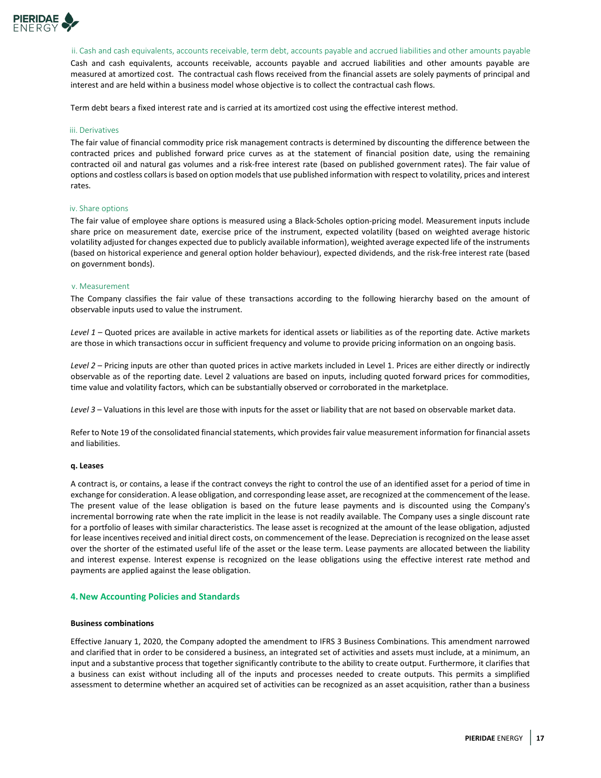

ii. Cash and cash equivalents, accounts receivable, term debt, accounts payable and accrued liabilities and other amounts payable

Cash and cash equivalents, accounts receivable, accounts payable and accrued liabilities and other amounts payable are measured at amortized cost. The contractual cash flows received from the financial assets are solely payments of principal and interest and are held within a business model whose objective is to collect the contractual cash flows.

Term debt bears a fixed interest rate and is carried at its amortized cost using the effective interest method.

#### iii. Derivatives

The fair value of financial commodity price risk management contracts is determined by discounting the difference between the contracted prices and published forward price curves as at the statement of financial position date, using the remaining contracted oil and natural gas volumes and a risk-free interest rate (based on published government rates). The fair value of options and costless collars is based on option models that use published information with respect to volatility, prices and interest rates.

#### iv. Share options

The fair value of employee share options is measured using a Black-Scholes option-pricing model. Measurement inputs include share price on measurement date, exercise price of the instrument, expected volatility (based on weighted average historic volatility adjusted for changes expected due to publicly available information), weighted average expected life of the instruments (based on historical experience and general option holder behaviour), expected dividends, and the risk-free interest rate (based on government bonds).

#### v. Measurement

The Company classifies the fair value of these transactions according to the following hierarchy based on the amount of observable inputs used to value the instrument.

*Level 1* – Quoted prices are available in active markets for identical assets or liabilities as of the reporting date. Active markets are those in which transactions occur in sufficient frequency and volume to provide pricing information on an ongoing basis.

*Level 2* – Pricing inputs are other than quoted prices in active markets included in Level 1. Prices are either directly or indirectly observable as of the reporting date. Level 2 valuations are based on inputs, including quoted forward prices for commodities, time value and volatility factors, which can be substantially observed or corroborated in the marketplace.

*Level 3* – Valuations in this level are those with inputs for the asset or liability that are not based on observable market data.

Refer to Note 19 of the consolidated financial statements, which provides fair value measurement information for financial assets and liabilities.

#### **q. Leases**

A contract is, or contains, a lease if the contract conveys the right to control the use of an identified asset for a period of time in exchange for consideration. A lease obligation, and corresponding lease asset, are recognized at the commencement of the lease. The present value of the lease obligation is based on the future lease payments and is discounted using the Company's incremental borrowing rate when the rate implicit in the lease is not readily available. The Company uses a single discount rate for a portfolio of leases with similar characteristics. The lease asset is recognized at the amount of the lease obligation, adjusted for lease incentives received and initial direct costs, on commencement of the lease. Depreciation is recognized on the lease asset over the shorter of the estimated useful life of the asset or the lease term. Lease payments are allocated between the liability and interest expense. Interest expense is recognized on the lease obligations using the effective interest rate method and payments are applied against the lease obligation.

# **4.New Accounting Policies and Standards**

#### **Business combinations**

Effective January 1, 2020, the Company adopted the amendment to IFRS 3 Business Combinations. This amendment narrowed and clarified that in order to be considered a business, an integrated set of activities and assets must include, at a minimum, an input and a substantive process that together significantly contribute to the ability to create output. Furthermore, it clarifies that a business can exist without including all of the inputs and processes needed to create outputs. This permits a simplified assessment to determine whether an acquired set of activities can be recognized as an asset acquisition, rather than a business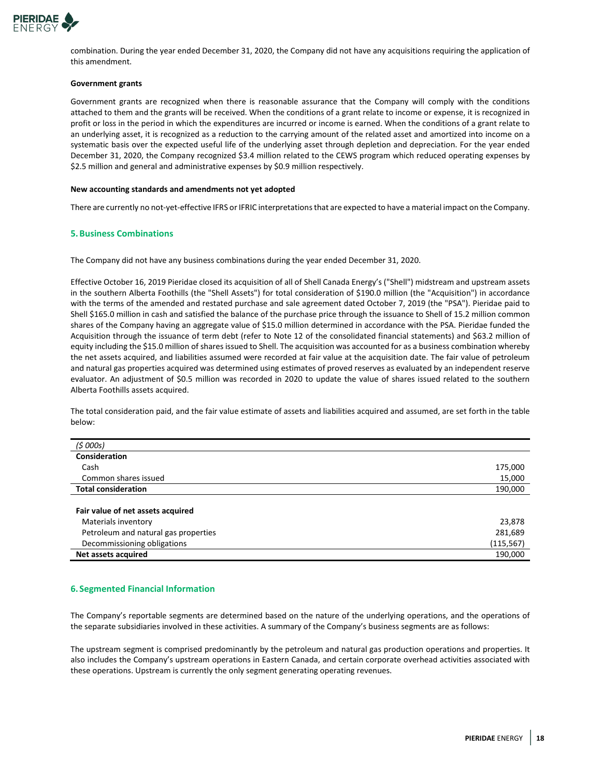

combination. During the year ended December 31, 2020, the Company did not have any acquisitions requiring the application of this amendment.

#### **Government grants**

Government grants are recognized when there is reasonable assurance that the Company will comply with the conditions attached to them and the grants will be received. When the conditions of a grant relate to income or expense, it is recognized in profit or loss in the period in which the expenditures are incurred or income is earned. When the conditions of a grant relate to an underlying asset, it is recognized as a reduction to the carrying amount of the related asset and amortized into income on a systematic basis over the expected useful life of the underlying asset through depletion and depreciation. For the year ended December 31, 2020, the Company recognized \$3.4 million related to the CEWS program which reduced operating expenses by \$2.5 million and general and administrative expenses by \$0.9 million respectively.

#### **New accounting standards and amendments not yet adopted**

There are currently no not-yet-effective IFRS or IFRIC interpretations that are expected to have a material impact on the Company.

# **5.Business Combinations**

The Company did not have any business combinations during the year ended December 31, 2020.

Effective October 16, 2019 Pieridae closed its acquisition of all of Shell Canada Energy's ("Shell") midstream and upstream assets in the southern Alberta Foothills (the "Shell Assets") for total consideration of \$190.0 million (the "Acquisition") in accordance with the terms of the amended and restated purchase and sale agreement dated October 7, 2019 (the "PSA"). Pieridae paid to Shell \$165.0 million in cash and satisfied the balance of the purchase price through the issuance to Shell of 15.2 million common shares of the Company having an aggregate value of \$15.0 million determined in accordance with the PSA. Pieridae funded the Acquisition through the issuance of term debt (refer to Note 12 of the consolidated financial statements) and \$63.2 million of equity including the \$15.0 million of shares issued to Shell. The acquisition was accounted for as a business combination whereby the net assets acquired, and liabilities assumed were recorded at fair value at the acquisition date. The fair value of petroleum and natural gas properties acquired was determined using estimates of proved reserves as evaluated by an independent reserve evaluator. An adjustment of \$0.5 million was recorded in 2020 to update the value of shares issued related to the southern Alberta Foothills assets acquired.

The total consideration paid, and the fair value estimate of assets and liabilities acquired and assumed, are set forth in the table below:

| (\$ 000s)                            |            |
|--------------------------------------|------------|
| Consideration                        |            |
| Cash                                 | 175,000    |
| Common shares issued                 | 15,000     |
| <b>Total consideration</b>           | 190,000    |
|                                      |            |
| Fair value of net assets acquired    |            |
| Materials inventory                  | 23,878     |
| Petroleum and natural gas properties | 281,689    |
| Decommissioning obligations          | (115, 567) |
| Net assets acquired                  | 190,000    |

# **6. Segmented Financial Information**

The Company's reportable segments are determined based on the nature of the underlying operations, and the operations of the separate subsidiaries involved in these activities. A summary of the Company's business segments are as follows:

The upstream segment is comprised predominantly by the petroleum and natural gas production operations and properties. It also includes the Company's upstream operations in Eastern Canada, and certain corporate overhead activities associated with these operations. Upstream is currently the only segment generating operating revenues.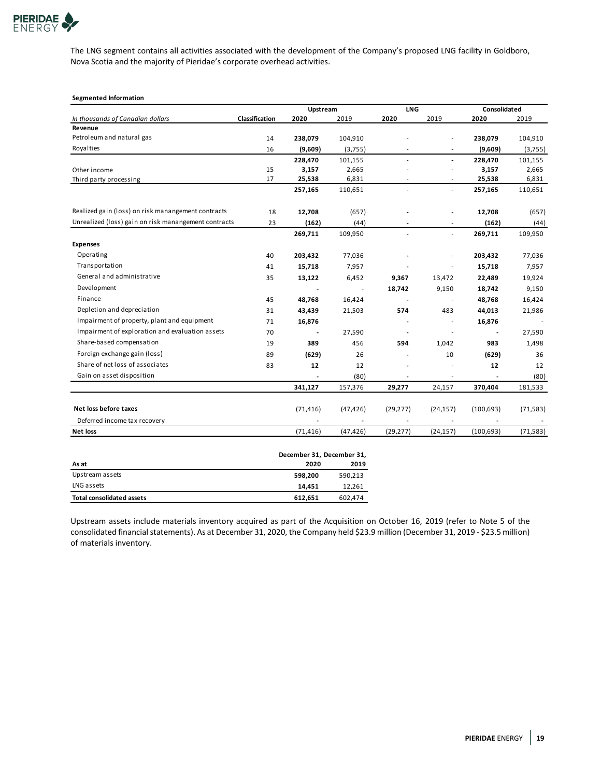

The LNG segment contains all activities associated with the development of the Company's proposed LNG facility in Goldboro, Nova Scotia and the majority of Pieridae's corporate overhead activities.

|                                                      |                | Upstream                          |                          | <b>LNG</b>               |                          | Consolidated             |           |
|------------------------------------------------------|----------------|-----------------------------------|--------------------------|--------------------------|--------------------------|--------------------------|-----------|
| In thousands of Canadian dollars                     | Classification | 2020                              | 2019                     | 2020                     | 2019                     | 2020                     | 2019      |
| Revenue                                              |                |                                   |                          |                          |                          |                          |           |
| Petroleum and natural gas                            | 14             | 238,079                           | 104,910                  |                          |                          | 238,079                  | 104,910   |
| Royalties                                            | 16             | (9,609)                           | (3,755)                  | ٠                        | $\overline{\phantom{a}}$ | (9,609)                  | (3,755)   |
|                                                      |                | 228,470                           | 101,155                  | ÷                        | $\overline{a}$           | 228,470                  | 101,155   |
| Other income                                         | 15             | 3,157                             | 2,665                    |                          |                          | 3,157                    | 2,665     |
| Third party processing                               | 17             | 25,538                            | 6,831                    |                          | $\overline{\phantom{a}}$ | 25,538                   | 6,831     |
|                                                      |                | 257,165                           | 110,651                  | $\sim$                   | $\overline{\phantom{a}}$ | 257,165                  | 110,651   |
| Realized gain (loss) on risk manangement contracts   | 18             | 12,708                            | (657)                    |                          |                          | 12,708                   | (657)     |
| Unrealized (loss) gain on risk manangement contracts | 23             | (162)                             | (44)                     |                          | $\overline{\phantom{a}}$ | (162)                    | (44)      |
|                                                      |                | 269,711                           | 109,950                  |                          |                          | 269,711                  | 109,950   |
| <b>Expenses</b>                                      |                |                                   |                          |                          |                          |                          |           |
| Operating                                            | 40             | 203,432                           | 77,036                   |                          |                          | 203,432                  | 77,036    |
| Transportation                                       | 41             | 15,718                            | 7,957                    |                          |                          | 15,718                   | 7,957     |
| General and administrative                           | 35             | 13,122                            | 6,452                    | 9,367                    | 13,472                   | 22,489                   | 19,924    |
| <b>Development</b>                                   |                |                                   | $\overline{\phantom{a}}$ | 18,742                   | 9,150                    | 18,742                   | 9,150     |
| Finance                                              | 45             | 48,768                            | 16,424                   |                          |                          | 48,768                   | 16,424    |
| Depletion and depreciation                           | 31             | 43,439                            | 21,503                   | 574                      | 483                      | 44,013                   | 21,986    |
| Impairment of property, plant and equipment          | 71             | 16,876                            |                          |                          |                          | 16,876                   |           |
| Impairment of exploration and evaluation assets      | 70             | $\overline{\phantom{a}}$          | 27,590                   |                          |                          | $\blacksquare$           | 27,590    |
| Share-based compensation                             | 19             | 389                               | 456                      | 594                      | 1,042                    | 983                      | 1,498     |
| Foreign exchange gain (loss)                         | 89             | (629)                             | 26                       |                          | 10                       | (629)                    | 36        |
| Share of net loss of associates                      | 83             | 12                                | 12                       |                          |                          | 12                       | 12        |
| Gain on asset disposition                            |                | $\overline{\phantom{a}}$          | (80)                     | $\overline{\phantom{a}}$ | $\overline{\phantom{a}}$ | $\overline{\phantom{a}}$ | (80)      |
|                                                      |                | 341,127                           | 157,376                  | 29,277                   | 24,157                   | 370,404                  | 181,533   |
| Net loss before taxes                                |                | (71, 416)                         | (47, 426)                | (29, 277)                | (24, 157)                | (100, 693)               | (71, 583) |
| Deferred income tax recovery                         |                |                                   |                          |                          |                          |                          |           |
| <b>Net loss</b>                                      |                | (71, 416)                         | (47, 426)                | (29, 277)                | (24, 157)                | (100, 693)               | (71, 583) |
|                                                      |                |                                   |                          |                          |                          |                          |           |
| As at                                                |                | December 31, December 31,<br>2020 | 2019                     |                          |                          |                          |           |

|                                  | December 31, December 31 |         |
|----------------------------------|--------------------------|---------|
| As at                            | 2020                     | 2019    |
| Upstream assets                  | 598.200                  | 590.213 |
| LNG assets                       | 14.451                   | 12.261  |
| <b>Total consolidated assets</b> | 612.651                  | 602.474 |

Upstream assets include materials inventory acquired as part of the Acquisition on October 16, 2019 (refer to Note 5 of the consolidated financial statements). As at December 31, 2020, the Company held \$23.9 million (December 31, 2019 - \$23.5 million) of materials inventory.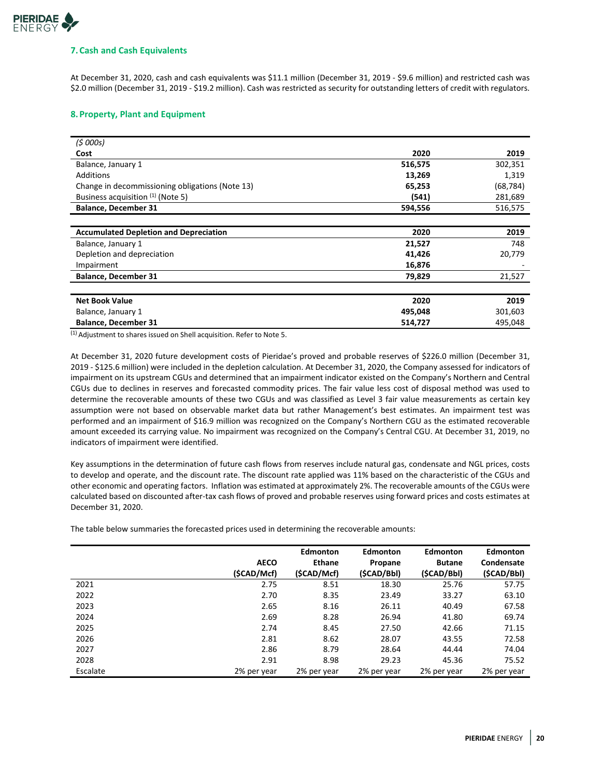

# **7.Cash and Cash Equivalents**

At December 31, 2020, cash and cash equivalents was \$11.1 million (December 31, 2019 - \$9.6 million) and restricted cash was \$2.0 million (December 31, 2019 - \$19.2 million). Cash was restricted as security for outstanding letters of credit with regulators.

# **8.Property, Plant and Equipment**

| (5000s)                                         |         |           |
|-------------------------------------------------|---------|-----------|
| Cost                                            | 2020    | 2019      |
| Balance, January 1                              | 516,575 | 302,351   |
| Additions                                       | 13,269  | 1,319     |
| Change in decommissioning obligations (Note 13) | 65,253  | (68, 784) |
| Business acquisition (1) (Note 5)               | (541)   | 281,689   |
| <b>Balance, December 31</b>                     | 594,556 | 516,575   |
|                                                 |         |           |
| <b>Accumulated Depletion and Depreciation</b>   | 2020    | 2019      |
| Balance, January 1                              | 21,527  | 748       |
| Depletion and depreciation                      | 41,426  | 20,779    |
| Impairment                                      | 16,876  |           |
| <b>Balance, December 31</b>                     | 79,829  | 21,527    |
|                                                 |         |           |
| <b>Net Book Value</b>                           | 2020    | 2019      |
| Balance, January 1                              | 495,048 | 301,603   |
| <b>Balance, December 31</b>                     | 514,727 | 495,048   |

(1) Adjustment to shares issued on Shell acquisition. Refer to Note 5.

At December 31, 2020 future development costs of Pieridae's proved and probable reserves of \$226.0 million (December 31, 2019 - \$125.6 million) were included in the depletion calculation. At December 31, 2020, the Company assessed for indicators of impairment on its upstream CGUs and determined that an impairment indicator existed on the Company's Northern and Central CGUs due to declines in reserves and forecasted commodity prices. The fair value less cost of disposal method was used to determine the recoverable amounts of these two CGUs and was classified as Level 3 fair value measurements as certain key assumption were not based on observable market data but rather Management's best estimates. An impairment test was performed and an impairment of \$16.9 million was recognized on the Company's Northern CGU as the estimated recoverable amount exceeded its carrying value. No impairment was recognized on the Company's Central CGU. At December 31, 2019, no indicators of impairment were identified.

Key assumptions in the determination of future cash flows from reserves include natural gas, condensate and NGL prices, costs to develop and operate, and the discount rate. The discount rate applied was 11% based on the characteristic of the CGUs and other economic and operating factors. Inflation was estimated at approximately 2%. The recoverable amounts of the CGUs were calculated based on discounted after-tax cash flows of proved and probable reserves using forward prices and costs estimates at December 31, 2020.

The table below summaries the forecasted prices used in determining the recoverable amounts:

|          |             | <b>Edmonton</b> | <b>Edmonton</b> | <b>Edmonton</b> | <b>Edmonton</b> |
|----------|-------------|-----------------|-----------------|-----------------|-----------------|
|          | <b>AECO</b> | <b>Ethane</b>   | Propane         | <b>Butane</b>   | Condensate      |
|          | (\$CAD/Mcf) | (\$CAD/Mcf)     | (\$CAD/Bbl)     | (\$CAD/Bbl)     | (\$CAD/Bbl)     |
| 2021     | 2.75        | 8.51            | 18.30           | 25.76           | 57.75           |
| 2022     | 2.70        | 8.35            | 23.49           | 33.27           | 63.10           |
| 2023     | 2.65        | 8.16            | 26.11           | 40.49           | 67.58           |
| 2024     | 2.69        | 8.28            | 26.94           | 41.80           | 69.74           |
| 2025     | 2.74        | 8.45            | 27.50           | 42.66           | 71.15           |
| 2026     | 2.81        | 8.62            | 28.07           | 43.55           | 72.58           |
| 2027     | 2.86        | 8.79            | 28.64           | 44.44           | 74.04           |
| 2028     | 2.91        | 8.98            | 29.23           | 45.36           | 75.52           |
| Escalate | 2% per year | 2% per year     | 2% per year     | 2% per year     | 2% per year     |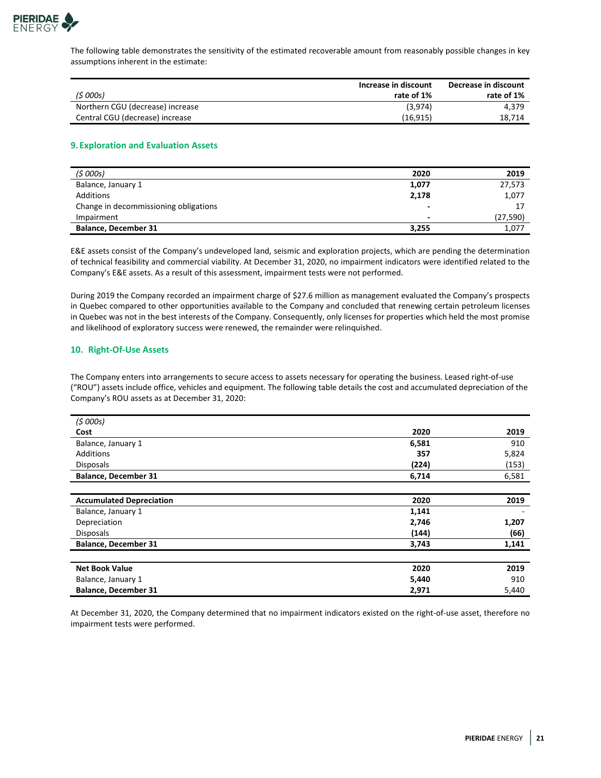

The following table demonstrates the sensitivity of the estimated recoverable amount from reasonably possible changes in key assumptions inherent in the estimate:

|                                  | Increase in discount | Decrease in discount |
|----------------------------------|----------------------|----------------------|
| (\$ 000s)                        | rate of 1%           | rate of 1%           |
| Northern CGU (decrease) increase | (3,974)              | 4.379                |
| Central CGU (decrease) increase  | (16, 915)            | 18.714               |

# **9. Exploration and Evaluation Assets**

| (5000s)                               | 2020                     | 2019      |
|---------------------------------------|--------------------------|-----------|
| Balance, January 1                    | 1,077                    | 27,573    |
| Additions                             | 2,178                    | 1,077     |
| Change in decommissioning obligations | $\overline{\phantom{0}}$ |           |
| Impairment                            | $\overline{\phantom{0}}$ | (27, 590) |
| <b>Balance, December 31</b>           | 3,255                    | 1,077     |

E&E assets consist of the Company's undeveloped land, seismic and exploration projects, which are pending the determination of technical feasibility and commercial viability. At December 31, 2020, no impairment indicators were identified related to the Company's E&E assets. As a result of this assessment, impairment tests were not performed.

During 2019 the Company recorded an impairment charge of \$27.6 million as management evaluated the Company's prospects in Quebec compared to other opportunities available to the Company and concluded that renewing certain petroleum licenses in Quebec was not in the best interests of the Company. Consequently, only licenses for properties which held the most promise and likelihood of exploratory success were renewed, the remainder were relinquished.

# **10. Right-Of-Use Assets**

The Company enters into arrangements to secure access to assets necessary for operating the business. Leased right-of-use ("ROU") assets include office, vehicles and equipment. The following table details the cost and accumulated depreciation of the Company's ROU assets as at December 31, 2020:

| (5000s)                         |       |       |
|---------------------------------|-------|-------|
| Cost                            | 2020  | 2019  |
| Balance, January 1              | 6,581 | 910   |
| Additions                       | 357   | 5,824 |
| <b>Disposals</b>                | (224) | (153) |
| <b>Balance, December 31</b>     | 6,714 | 6,581 |
|                                 |       |       |
| <b>Accumulated Depreciation</b> | 2020  | 2019  |
| Balance, January 1              | 1,141 |       |
| Depreciation                    | 2,746 | 1,207 |
| <b>Disposals</b>                | (144) | (66)  |
| <b>Balance, December 31</b>     | 3,743 | 1,141 |
|                                 |       |       |
| <b>Net Book Value</b>           | 2020  | 2019  |
| Balance, January 1              | 5,440 | 910   |
| <b>Balance, December 31</b>     | 2,971 | 5,440 |

At December 31, 2020, the Company determined that no impairment indicators existed on the right-of-use asset, therefore no impairment tests were performed.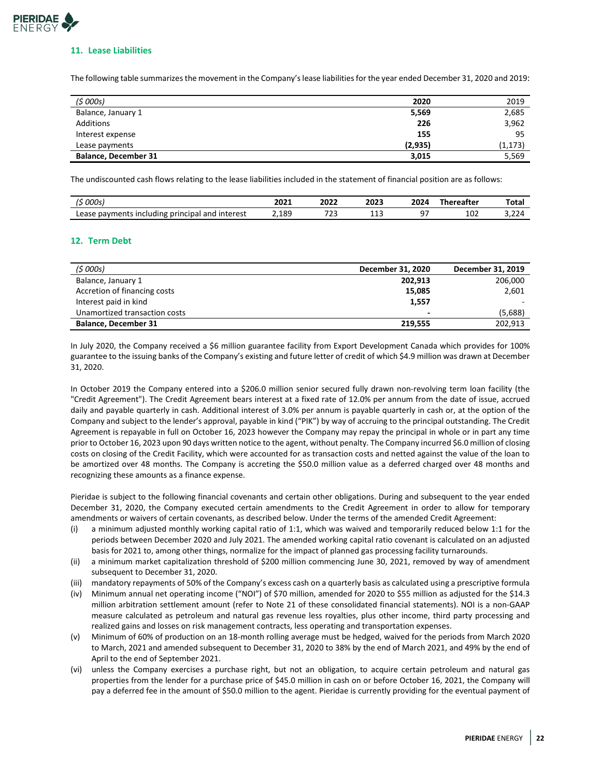

# **11. Lease Liabilities**

The following table summarizes the movement in the Company'slease liabilities for the year ended December 31, 2020 and 2019:

| (5000s)                     | 2020    | 2019     |
|-----------------------------|---------|----------|
| Balance, January 1          | 5,569   | 2,685    |
| Additions                   | 226     | 3,962    |
| Interest expense            | 155     | 95       |
| Lease payments              | (2,935) | (1, 173) |
| <b>Balance, December 31</b> | 3,015   | 5,569    |

The undiscounted cash flows relating to the lease liabilities included in the statement of financial position are as follows:

| 000s<br>ـ                                                 | ירחר<br>ZUZI<br>_____ | <b>ברחר</b><br>-927 | 2023<br>___ | 2024        | hereatter   | Total           |
|-----------------------------------------------------------|-----------------------|---------------------|-------------|-------------|-------------|-----------------|
| , payments including principal •<br>and interest<br>Lease | ∠,189                 | --<br>دے<br>__      | ---<br>__   | ັ<br>$\sim$ | 102<br>____ | $\sim$<br>3,44° |

# **12. Term Debt**

| (\$ 000s)                     | December 31, 2020        | December 31, 2019 |
|-------------------------------|--------------------------|-------------------|
| Balance, January 1            | 202,913                  | 206,000           |
| Accretion of financing costs  | 15,085                   | 2,601             |
| Interest paid in kind         | 1,557                    |                   |
| Unamortized transaction costs | $\overline{\phantom{0}}$ | (5,688)           |
| <b>Balance, December 31</b>   | 219.555                  | 202,913           |

In July 2020, the Company received a \$6 million guarantee facility from Export Development Canada which provides for 100% guarantee to the issuing banks of the Company's existing and future letter of credit of which \$4.9 million was drawn at December 31, 2020.

In October 2019 the Company entered into a \$206.0 million senior secured fully drawn non-revolving term loan facility (the "Credit Agreement"). The Credit Agreement bears interest at a fixed rate of 12.0% per annum from the date of issue, accrued daily and payable quarterly in cash. Additional interest of 3.0% per annum is payable quarterly in cash or, at the option of the Company and subject to the lender's approval, payable in kind ("PIK") by way of accruing to the principal outstanding. The Credit Agreement is repayable in full on October 16, 2023 however the Company may repay the principal in whole or in part any time prior to October 16, 2023 upon 90 days written notice to the agent, without penalty. The Company incurred \$6.0 million of closing costs on closing of the Credit Facility, which were accounted for as transaction costs and netted against the value of the loan to be amortized over 48 months. The Company is accreting the \$50.0 million value as a deferred charged over 48 months and recognizing these amounts as a finance expense.

Pieridae is subject to the following financial covenants and certain other obligations. During and subsequent to the year ended December 31, 2020, the Company executed certain amendments to the Credit Agreement in order to allow for temporary amendments or waivers of certain covenants, as described below. Under the terms of the amended Credit Agreement:

- (i) a minimum adjusted monthly working capital ratio of 1:1, which was waived and temporarily reduced below 1:1 for the periods between December 2020 and July 2021. The amended working capital ratio covenant is calculated on an adjusted basis for 2021 to, among other things, normalize for the impact of planned gas processing facility turnarounds.
- (ii) a minimum market capitalization threshold of \$200 million commencing June 30, 2021, removed by way of amendment subsequent to December 31, 2020.
- (iii) mandatory repayments of 50% of the Company's excess cash on a quarterly basis as calculated using a prescriptive formula
- (iv) Minimum annual net operating income ("NOI") of \$70 million, amended for 2020 to \$55 million as adjusted for the \$14.3 million arbitration settlement amount (refer to Note 21 of these consolidated financial statements). NOI is a non-GAAP measure calculated as petroleum and natural gas revenue less royalties, plus other income, third party processing and realized gains and losses on risk management contracts, less operating and transportation expenses.
- (v) Minimum of 60% of production on an 18-month rolling average must be hedged, waived for the periods from March 2020 to March, 2021 and amended subsequent to December 31, 2020 to 38% by the end of March 2021, and 49% by the end of April to the end of September 2021.
- (vi) unless the Company exercises a purchase right, but not an obligation, to acquire certain petroleum and natural gas properties from the lender for a purchase price of \$45.0 million in cash on or before October 16, 2021, the Company will pay a deferred fee in the amount of \$50.0 million to the agent. Pieridae is currently providing for the eventual payment of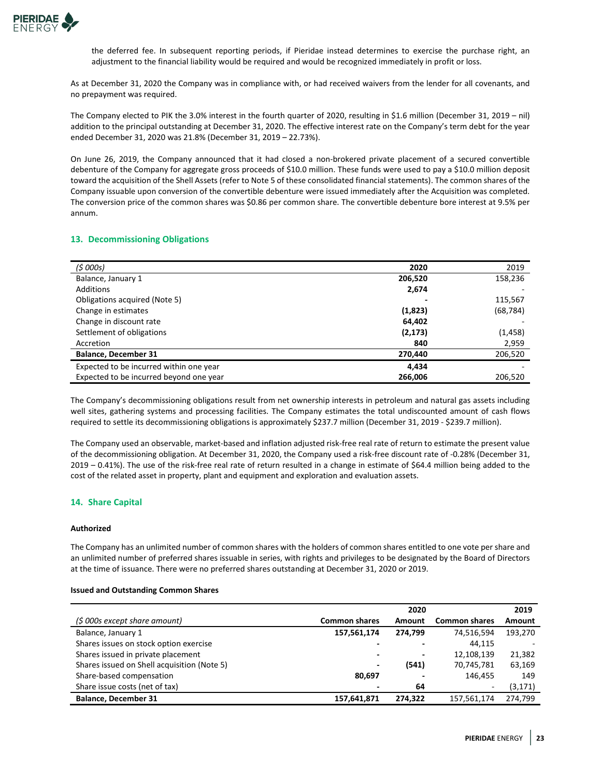the deferred fee. In subsequent reporting periods, if Pieridae instead determines to exercise the purchase right, an adjustment to the financial liability would be required and would be recognized immediately in profit or loss.

As at December 31, 2020 the Company was in compliance with, or had received waivers from the lender for all covenants, and no prepayment was required.

The Company elected to PIK the 3.0% interest in the fourth quarter of 2020, resulting in \$1.6 million (December 31, 2019 – nil) addition to the principal outstanding at December 31, 2020. The effective interest rate on the Company's term debt for the year ended December 31, 2020 was 21.8% (December 31, 2019 – 22.73%).

On June 26, 2019, the Company announced that it had closed a non-brokered private placement of a secured convertible debenture of the Company for aggregate gross proceeds of \$10.0 million. These funds were used to pay a \$10.0 million deposit toward the acquisition of the Shell Assets (refer to Note 5 of these consolidated financial statements). The common shares of the Company issuable upon conversion of the convertible debenture were issued immediately after the Acquisition was completed. The conversion price of the common shares was \$0.86 per common share. The convertible debenture bore interest at 9.5% per annum.

# **13. Decommissioning Obligations**

| (5000s)                                 | 2020     | 2019      |
|-----------------------------------------|----------|-----------|
| Balance, January 1                      | 206,520  | 158,236   |
| Additions                               | 2,674    |           |
| Obligations acquired (Note 5)           |          | 115,567   |
| Change in estimates                     | (1,823)  | (68, 784) |
| Change in discount rate                 | 64,402   |           |
| Settlement of obligations               | (2, 173) | (1, 458)  |
| Accretion                               | 840      | 2,959     |
| <b>Balance, December 31</b>             | 270,440  | 206,520   |
| Expected to be incurred within one year | 4,434    |           |
| Expected to be incurred beyond one year | 266,006  | 206,520   |

The Company's decommissioning obligations result from net ownership interests in petroleum and natural gas assets including well sites, gathering systems and processing facilities. The Company estimates the total undiscounted amount of cash flows required to settle its decommissioning obligations is approximately \$237.7 million (December 31, 2019 - \$239.7 million).

The Company used an observable, market-based and inflation adjusted risk-free real rate of return to estimate the present value of the decommissioning obligation. At December 31, 2020, the Company used a risk-free discount rate of -0.28% (December 31, 2019 – 0.41%). The use of the risk-free real rate of return resulted in a change in estimate of \$64.4 million being added to the cost of the related asset in property, plant and equipment and exploration and evaluation assets.

# **14. Share Capital**

# **Authorized**

The Company has an unlimited number of common shares with the holders of common shares entitled to one vote per share and an unlimited number of preferred shares issuable in series, with rights and privileges to be designated by the Board of Directors at the time of issuance. There were no preferred shares outstanding at December 31, 2020 or 2019.

#### **Issued and Outstanding Common Shares**

|                                             |                          | 2020                     |                          | 2019          |
|---------------------------------------------|--------------------------|--------------------------|--------------------------|---------------|
| (\$ 000s except share amount)               | <b>Common shares</b>     | Amount                   | <b>Common shares</b>     | <b>Amount</b> |
| Balance, January 1                          | 157,561,174              | 274.799                  | 74,516,594               | 193,270       |
| Shares issues on stock option exercise      |                          | $\overline{\phantom{0}}$ | 44.115                   |               |
| Shares issued in private placement          | $\overline{\phantom{0}}$ | $\overline{\phantom{0}}$ | 12,108,139               | 21,382        |
| Shares issued on Shell acquisition (Note 5) | $\overline{\phantom{0}}$ | (541)                    | 70,745,781               | 63,169        |
| Share-based compensation                    | 80.697                   | $\overline{\phantom{0}}$ | 146.455                  | 149           |
| Share issue costs (net of tax)              |                          | 64                       | $\overline{\phantom{0}}$ | (3,171)       |
| <b>Balance, December 31</b>                 | 157,641,871              | 274.322                  | 157,561,174              | 274.799       |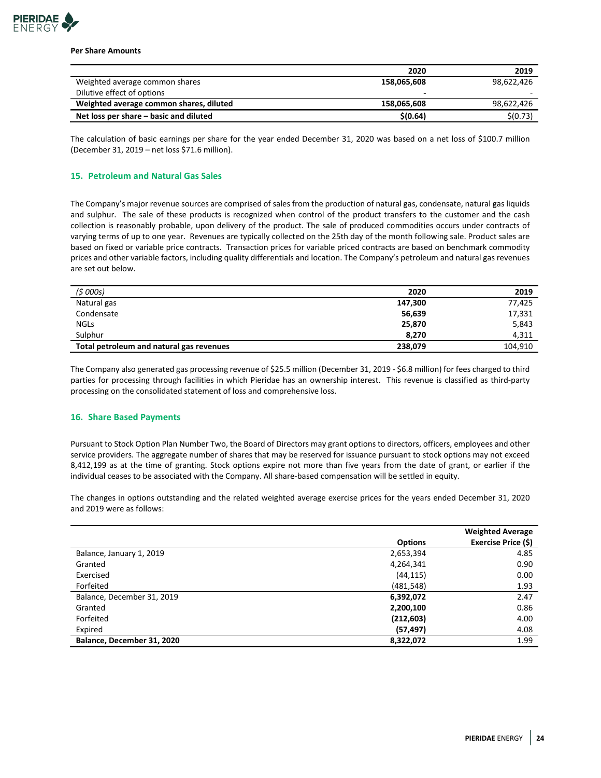#### **Per Share Amounts**

|                                         | 2020                     | 2019       |
|-----------------------------------------|--------------------------|------------|
| Weighted average common shares          | 158.065.608              | 98,622,426 |
| Dilutive effect of options              | $\overline{\phantom{0}}$ |            |
| Weighted average common shares, diluted | 158,065,608              | 98,622,426 |
| Net loss per share – basic and diluted  | \$(0.64)                 | \$(0.73)   |

The calculation of basic earnings per share for the year ended December 31, 2020 was based on a net loss of \$100.7 million (December 31, 2019 – net loss \$71.6 million).

### **15. Petroleum and Natural Gas Sales**

The Company's major revenue sources are comprised of sales from the production of natural gas, condensate, natural gas liquids and sulphur. The sale of these products is recognized when control of the product transfers to the customer and the cash collection is reasonably probable, upon delivery of the product. The sale of produced commodities occurs under contracts of varying terms of up to one year. Revenues are typically collected on the 25th day of the month following sale. Product sales are based on fixed or variable price contracts. Transaction prices for variable priced contracts are based on benchmark commodity prices and other variable factors, including quality differentials and location. The Company's petroleum and natural gas revenues are set out below.

| (5000s)                                  | 2020    | 2019    |
|------------------------------------------|---------|---------|
| Natural gas                              | 147,300 | 77,425  |
| Condensate                               | 56,639  | 17,331  |
| <b>NGLs</b>                              | 25.870  | 5,843   |
| Sulphur                                  | 8.270   | 4.311   |
| Total petroleum and natural gas revenues | 238,079 | 104.910 |

The Company also generated gas processing revenue of \$25.5 million (December 31, 2019 - \$6.8 million) for fees charged to third parties for processing through facilities in which Pieridae has an ownership interest. This revenue is classified as third-party processing on the consolidated statement of loss and comprehensive loss.

# **16. Share Based Payments**

Pursuant to Stock Option Plan Number Two, the Board of Directors may grant options to directors, officers, employees and other service providers. The aggregate number of shares that may be reserved for issuance pursuant to stock options may not exceed 8,412,199 as at the time of granting. Stock options expire not more than five years from the date of grant, or earlier if the individual ceases to be associated with the Company. All share-based compensation will be settled in equity.

The changes in options outstanding and the related weighted average exercise prices for the years ended December 31, 2020 and 2019 were as follows:

|                            |                | <b>Weighted Average</b> |
|----------------------------|----------------|-------------------------|
|                            | <b>Options</b> | Exercise Price (\$)     |
| Balance, January 1, 2019   | 2,653,394      | 4.85                    |
| Granted                    | 4,264,341      | 0.90                    |
| Exercised                  | (44, 115)      | 0.00                    |
| Forfeited                  | (481, 548)     | 1.93                    |
| Balance, December 31, 2019 | 6,392,072      | 2.47                    |
| Granted                    | 2,200,100      | 0.86                    |
| Forfeited                  | (212, 603)     | 4.00                    |
| Expired                    | (57, 497)      | 4.08                    |
| Balance, December 31, 2020 | 8,322,072      | 1.99                    |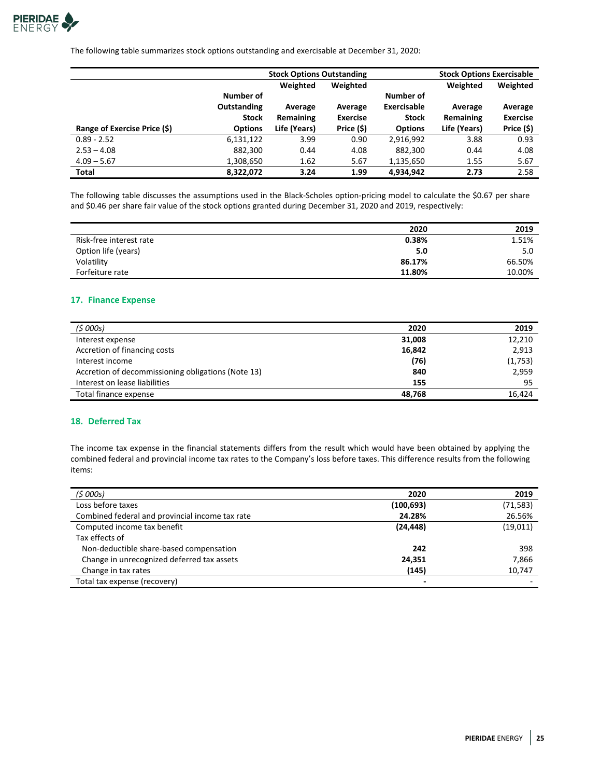

The following table summarizes stock options outstanding and exercisable at December 31, 2020:

|                              | <b>Stock Options Outstanding</b> |              |                 | <b>Stock Options Exercisable</b> |              |                 |
|------------------------------|----------------------------------|--------------|-----------------|----------------------------------|--------------|-----------------|
|                              |                                  | Weighted     | Weighted        |                                  | Weighted     | Weighted        |
|                              | Number of                        |              |                 | Number of                        |              |                 |
|                              | Outstanding                      | Average      | Average         | Exercisable                      | Average      | Average         |
|                              | <b>Stock</b>                     | Remaining    | <b>Exercise</b> | <b>Stock</b>                     | Remaining    | <b>Exercise</b> |
| Range of Exercise Price (\$) | <b>Options</b>                   | Life (Years) | Price (\$)      | <b>Options</b>                   | Life (Years) | Price (\$)      |
| $0.89 - 2.52$                | 6,131,122                        | 3.99         | 0.90            | 2,916,992                        | 3.88         | 0.93            |
| $2.53 - 4.08$                | 882,300                          | 0.44         | 4.08            | 882,300                          | 0.44         | 4.08            |
| $4.09 - 5.67$                | 1,308,650                        | 1.62         | 5.67            | 1,135,650                        | 1.55         | 5.67            |
| <b>Total</b>                 | 8,322,072                        | 3.24         | 1.99            | 4,934,942                        | 2.73         | 2.58            |

The following table discusses the assumptions used in the Black-Scholes option-pricing model to calculate the \$0.67 per share and \$0.46 per share fair value of the stock options granted during December 31, 2020 and 2019, respectively:

|                         | 2020   | 2019   |
|-------------------------|--------|--------|
| Risk-free interest rate | 0.38%  | 1.51%  |
| Option life (years)     | 5.0    | 5.0    |
| Volatility              | 86.17% | 66.50% |
| Forfeiture rate         | 11.80% | 10.00% |

# **17. Finance Expense**

| (5000s)                                            | 2020   | 2019    |
|----------------------------------------------------|--------|---------|
| Interest expense                                   | 31,008 | 12,210  |
| Accretion of financing costs                       | 16,842 | 2,913   |
| Interest income                                    | (76)   | (1,753) |
| Accretion of decommissioning obligations (Note 13) | 840    | 2,959   |
| Interest on lease liabilities                      | 155    | 95      |
| Total finance expense                              | 48.768 | 16.424  |

# **18. Deferred Tax**

The income tax expense in the financial statements differs from the result which would have been obtained by applying the combined federal and provincial income tax rates to the Company's loss before taxes. This difference results from the following items:

| (5000s)                                         | 2020                     | 2019      |
|-------------------------------------------------|--------------------------|-----------|
| Loss before taxes                               | (100, 693)               | (71, 583) |
| Combined federal and provincial income tax rate | 24.28%                   | 26.56%    |
| Computed income tax benefit                     | (24, 448)                | (19,011)  |
| Tax effects of                                  |                          |           |
| Non-deductible share-based compensation         | 242                      | 398       |
| Change in unrecognized deferred tax assets      | 24,351                   | 7,866     |
| Change in tax rates                             | (145)                    | 10,747    |
| Total tax expense (recovery)                    | $\overline{\phantom{0}}$ |           |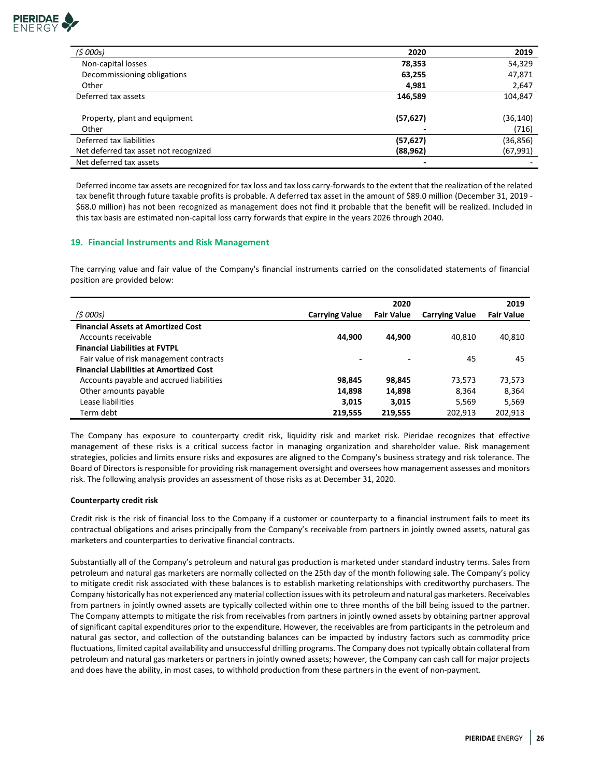

| (\$ 000s)                             | 2020      | 2019      |
|---------------------------------------|-----------|-----------|
| Non-capital losses                    | 78,353    | 54,329    |
| Decommissioning obligations           | 63,255    | 47,871    |
| Other                                 | 4,981     | 2,647     |
| Deferred tax assets                   | 146,589   | 104,847   |
|                                       |           |           |
| Property, plant and equipment         | (57, 627) | (36, 140) |
| Other                                 | -         | (716)     |
| Deferred tax liabilities              | (57, 627) | (36, 856) |
| Net deferred tax asset not recognized | (88, 962) | (67, 991) |
| Net deferred tax assets               | ٠         |           |

Deferred income tax assets are recognized for tax loss and tax loss carry-forwards to the extent that the realization of the related tax benefit through future taxable profits is probable. A deferred tax asset in the amount of \$89.0 million (December 31, 2019 - \$68.0 million) has not been recognized as management does not find it probable that the benefit will be realized. Included in this tax basis are estimated non-capital loss carry forwards that expire in the years 2026 through 2040.

# **19. Financial Instruments and Risk Management**

The carrying value and fair value of the Company's financial instruments carried on the consolidated statements of financial position are provided below:

|                                                |                       | 2020              |                       | 2019              |
|------------------------------------------------|-----------------------|-------------------|-----------------------|-------------------|
| (5000s)                                        | <b>Carrying Value</b> | <b>Fair Value</b> | <b>Carrying Value</b> | <b>Fair Value</b> |
| <b>Financial Assets at Amortized Cost</b>      |                       |                   |                       |                   |
| Accounts receivable                            | 44.900                | 44.900            | 40.810                | 40,810            |
| <b>Financial Liabilities at FVTPL</b>          |                       |                   |                       |                   |
| Fair value of risk management contracts        |                       | -                 | 45                    | 45                |
| <b>Financial Liabilities at Amortized Cost</b> |                       |                   |                       |                   |
| Accounts payable and accrued liabilities       | 98,845                | 98,845            | 73,573                | 73,573            |
| Other amounts payable                          | 14.898                | 14.898            | 8.364                 | 8,364             |
| Lease liabilities                              | 3,015                 | 3.015             | 5,569                 | 5,569             |
| Term debt                                      | 219.555               | 219.555           | 202.913               | 202.913           |

The Company has exposure to counterparty credit risk, liquidity risk and market risk. Pieridae recognizes that effective management of these risks is a critical success factor in managing organization and shareholder value. Risk management strategies, policies and limits ensure risks and exposures are aligned to the Company's business strategy and risk tolerance. The Board of Directors is responsible for providing risk management oversight and oversees how management assesses and monitors risk. The following analysis provides an assessment of those risks as at December 31, 2020.

# **Counterparty credit risk**

Credit risk is the risk of financial loss to the Company if a customer or counterparty to a financial instrument fails to meet its contractual obligations and arises principally from the Company's receivable from partners in jointly owned assets, natural gas marketers and counterparties to derivative financial contracts.

Substantially all of the Company's petroleum and natural gas production is marketed under standard industry terms. Sales from petroleum and natural gas marketers are normally collected on the 25th day of the month following sale. The Company's policy to mitigate credit risk associated with these balances is to establish marketing relationships with creditworthy purchasers. The Company historically has not experienced any material collection issues with its petroleum and natural gas marketers. Receivables from partners in jointly owned assets are typically collected within one to three months of the bill being issued to the partner. The Company attempts to mitigate the risk from receivables from partners in jointly owned assets by obtaining partner approval of significant capital expenditures prior to the expenditure. However, the receivables are from participants in the petroleum and natural gas sector, and collection of the outstanding balances can be impacted by industry factors such as commodity price fluctuations, limited capital availability and unsuccessful drilling programs. The Company does not typically obtain collateral from petroleum and natural gas marketers or partners in jointly owned assets; however, the Company can cash call for major projects and does have the ability, in most cases, to withhold production from these partners in the event of non-payment.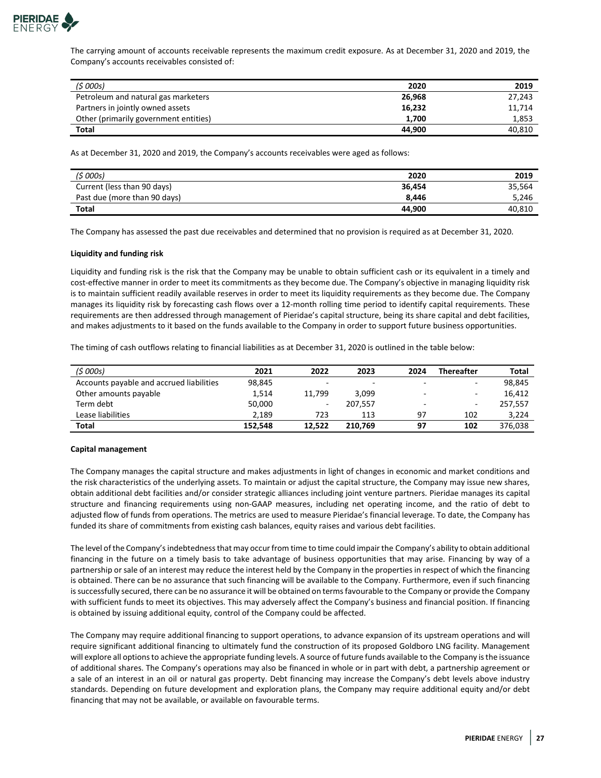

The carrying amount of accounts receivable represents the maximum credit exposure. As at December 31, 2020 and 2019, the Company's accounts receivables consisted of:

| (5000s)                               | 2020   | 2019   |
|---------------------------------------|--------|--------|
| Petroleum and natural gas marketers   | 26.968 | 27,243 |
| Partners in jointly owned assets      | 16.232 | 11.714 |
| Other (primarily government entities) | 1.700  | 1.853  |
| Total                                 | 44.900 | 40,810 |

As at December 31, 2020 and 2019, the Company's accounts receivables were aged as follows:

| (\$ 000s)                    | 2020   | 2019   |
|------------------------------|--------|--------|
| Current (less than 90 days)  | 36,454 | 35.564 |
| Past due (more than 90 days) | 8.446  | 5,246  |
| <b>Total</b>                 | 44.900 | 40,810 |

The Company has assessed the past due receivables and determined that no provision is required as at December 31, 2020.

### **Liquidity and funding risk**

Liquidity and funding risk is the risk that the Company may be unable to obtain sufficient cash or its equivalent in a timely and cost-effective manner in order to meet its commitments as they become due. The Company's objective in managing liquidity risk is to maintain sufficient readily available reserves in order to meet its liquidity requirements as they become due. The Company manages its liquidity risk by forecasting cash flows over a 12-month rolling time period to identify capital requirements. These requirements are then addressed through management of Pieridae's capital structure, being its share capital and debt facilities, and makes adjustments to it based on the funds available to the Company in order to support future business opportunities.

The timing of cash outflows relating to financial liabilities as at December 31, 2020 is outlined in the table below:

| (\$ 000s)                                | 2021    | 2022                     | 2023    | 2024 | <b>Thereafter</b>        | <b>Total</b> |
|------------------------------------------|---------|--------------------------|---------|------|--------------------------|--------------|
| Accounts payable and accrued liabilities | 98,845  | $\overline{a}$           | -       |      | $\overline{\phantom{a}}$ | 98.845       |
| Other amounts payable                    | 1,514   | 11.799                   | 3.099   |      | $\overline{\phantom{a}}$ | 16.412       |
| Term debt                                | 50,000  | $\overline{\phantom{a}}$ | 207.557 | -    | $\overline{\phantom{a}}$ | 257,557      |
| Lease liabilities                        | 2.189   | 723                      | 113     | 97   | 102                      | 3.224        |
| Total                                    | 152.548 | 12.522                   | 210.769 | 97   | 102                      | 376.038      |

#### **Capital management**

The Company manages the capital structure and makes adjustments in light of changes in economic and market conditions and the risk characteristics of the underlying assets. To maintain or adjust the capital structure, the Company may issue new shares, obtain additional debt facilities and/or consider strategic alliances including joint venture partners. Pieridae manages its capital structure and financing requirements using non-GAAP measures, including net operating income, and the ratio of debt to adjusted flow of funds from operations. The metrics are used to measure Pieridae's financial leverage. To date, the Company has funded its share of commitments from existing cash balances, equity raises and various debt facilities.

The level of the Company's indebtedness that may occur from time to time could impair the Company's ability to obtain additional financing in the future on a timely basis to take advantage of business opportunities that may arise. Financing by way of a partnership or sale of an interest may reduce the interest held by the Company in the properties in respect of which the financing is obtained. There can be no assurance that such financing will be available to the Company. Furthermore, even if such financing is successfully secured, there can be no assurance it will be obtained on terms favourable to the Company or provide the Company with sufficient funds to meet its objectives. This may adversely affect the Company's business and financial position. If financing is obtained by issuing additional equity, control of the Company could be affected.

The Company may require additional financing to support operations, to advance expansion of its upstream operations and will require significant additional financing to ultimately fund the construction of its proposed Goldboro LNG facility. Management will explore all options to achieve the appropriate funding levels. A source of future funds available to the Company is the issuance of additional shares. The Company's operations may also be financed in whole or in part with debt, a partnership agreement or a sale of an interest in an oil or natural gas property. Debt financing may increase the Company's debt levels above industry standards. Depending on future development and exploration plans, the Company may require additional equity and/or debt financing that may not be available, or available on favourable terms.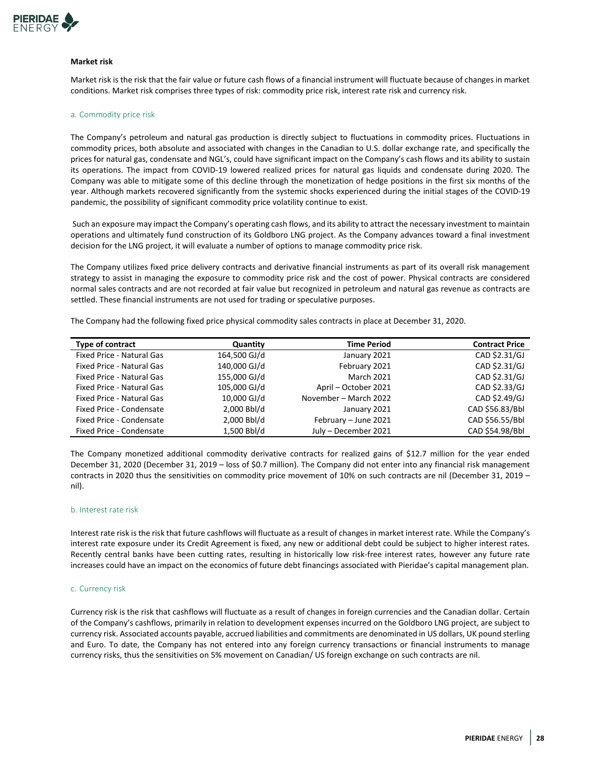

#### **Market risk**

Market risk is the risk that the fair value or future cash flows of a financial instrument will fluctuate because of changes in market conditions. Market risk comprises three types of risk: commodity price risk, interest rate risk and currency risk.

#### a. Commodity price risk

The Company's petroleum and natural gas production is directly subject to fluctuations in commodity prices. Fluctuations in commodity prices, both absolute and associated with changes in the Canadian to U.S. dollar exchange rate, and specifically the prices for natural gas, condensate and NGL's, could have significant impact on the Company's cash flows and its ability to sustain its operations. The impact from COVID-19 lowered realized prices for natural gas liquids and condensate during 2020. The Company was able to mitigate some of this decline through the monetization of hedge positions in the first six months of the year. Although markets recovered significantly from the systemic shocks experienced during the initial stages of the COVID-19 pandemic, the possibility of significant commodity price volatility continue to exist.

Such an exposure may impact the Company's operating cash flows, and its ability to attract the necessary investment to maintain operations and ultimately fund construction of its Goldboro LNG project. As the Company advances toward a final investment decision for the LNG project, it will evaluate a number of options to manage commodity price risk.

The Company utilizes fixed price delivery contracts and derivative financial instruments as part of its overall risk management strategy to assist in managing the exposure to commodity price risk and the cost of power. Physical contracts are considered normal sales contracts and are not recorded at fair value but recognized in petroleum and natural gas revenue as contracts are settled. These financial instruments are not used for trading or speculative purposes.

The Company had the following fixed price physical commodity sales contracts in place at December 31, 2020.

| <b>Type of contract</b>   | Quantity     | <b>Time Period</b>    | <b>Contract Price</b> |
|---------------------------|--------------|-----------------------|-----------------------|
| Fixed Price - Natural Gas | 164,500 GJ/d | January 2021          | CAD \$2.31/GJ         |
| Fixed Price - Natural Gas | 140,000 GJ/d | February 2021         | CAD \$2.31/GJ         |
| Fixed Price - Natural Gas | 155,000 GJ/d | <b>March 2021</b>     | CAD \$2.31/GJ         |
| Fixed Price - Natural Gas | 105,000 GJ/d | April – October 2021  | CAD \$2.33/GJ         |
| Fixed Price - Natural Gas | 10,000 GJ/d  | November - March 2022 | CAD \$2.49/GJ         |
| Fixed Price - Condensate  | 2,000 Bbl/d  | January 2021          | CAD \$56.83/Bbl       |
| Fixed Price - Condensate  | 2,000 Bbl/d  | February - June 2021  | CAD \$56.55/Bbl       |
| Fixed Price - Condensate  | 1,500 Bbl/d  | July - December 2021  | CAD \$54.98/Bbl       |

The Company monetized additional commodity derivative contracts for realized gains of \$12.7 million for the year ended December 31, 2020 (December 31, 2019 – loss of \$0.7 million). The Company did not enter into any financial risk management contracts in 2020 thus the sensitivities on commodity price movement of 10% on such contracts are nil (December 31, 2019 – nil).

# b. Interest rate risk

Interest rate risk is the risk that future cashflows will fluctuate as a result of changes in market interest rate. While the Company's interest rate exposure under its Credit Agreement is fixed, any new or additional debt could be subject to higher interest rates. Recently central banks have been cutting rates, resulting in historically low risk-free interest rates, however any future rate increases could have an impact on the economics of future debt financings associated with Pieridae's capital management plan.

#### c. Currency risk

Currency risk is the risk that cashflows will fluctuate as a result of changes in foreign currencies and the Canadian dollar. Certain of the Company's cashflows, primarily in relation to development expenses incurred on the Goldboro LNG project, are subject to currency risk. Associated accounts payable, accrued liabilities and commitments are denominated in US dollars, UK pound sterling and Euro. To date, the Company has not entered into any foreign currency transactions or financial instruments to manage currency risks, thus the sensitivities on 5% movement on Canadian/ US foreign exchange on such contracts are nil.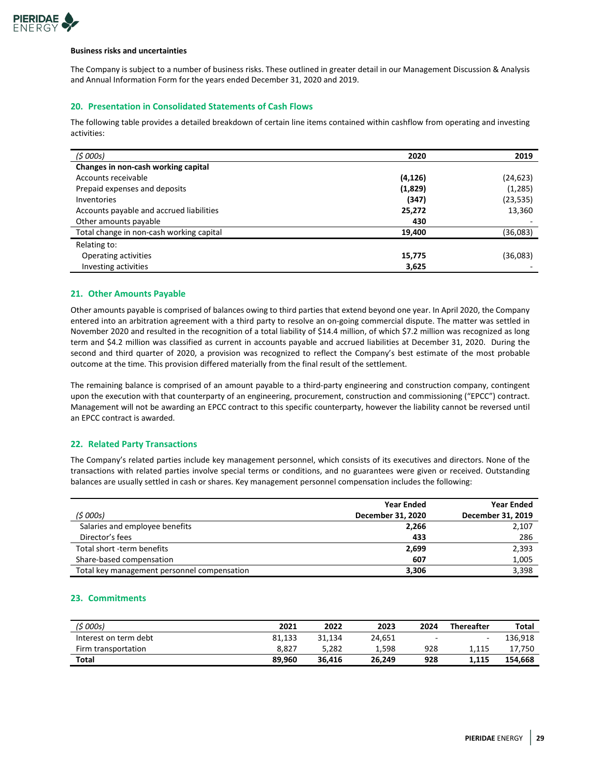

#### **Business risks and uncertainties**

The Company is subject to a number of business risks. These outlined in greater detail in our Management Discussion & Analysis and Annual Information Form for the years ended December 31, 2020 and 2019.

# **20. Presentation in Consolidated Statements of Cash Flows**

The following table provides a detailed breakdown of certain line items contained within cashflow from operating and investing activities:

| (5000s)                                  | 2020     | 2019      |
|------------------------------------------|----------|-----------|
| Changes in non-cash working capital      |          |           |
| Accounts receivable                      | (4, 126) | (24,623)  |
| Prepaid expenses and deposits            | (1,829)  | (1, 285)  |
| Inventories                              | (347)    | (23, 535) |
| Accounts payable and accrued liabilities | 25,272   | 13,360    |
| Other amounts payable                    | 430      |           |
| Total change in non-cash working capital | 19,400   | (36,083)  |
| Relating to:                             |          |           |
| Operating activities                     | 15,775   | (36,083)  |
| Investing activities                     | 3,625    |           |
|                                          |          |           |

# **21. Other Amounts Payable**

Other amounts payable is comprised of balances owing to third parties that extend beyond one year. In April 2020, the Company entered into an arbitration agreement with a third party to resolve an on-going commercial dispute. The matter was settled in November 2020 and resulted in the recognition of a total liability of \$14.4 million, of which \$7.2 million was recognized as long term and \$4.2 million was classified as current in accounts payable and accrued liabilities at December 31, 2020. During the second and third quarter of 2020, a provision was recognized to reflect the Company's best estimate of the most probable outcome at the time. This provision differed materially from the final result of the settlement.

The remaining balance is comprised of an amount payable to a third-party engineering and construction company, contingent upon the execution with that counterparty of an engineering, procurement, construction and commissioning ("EPCC") contract. Management will not be awarding an EPCC contract to this specific counterparty, however the liability cannot be reversed until an EPCC contract is awarded.

# **22. Related Party Transactions**

The Company's related parties include key management personnel, which consists of its executives and directors. None of the transactions with related parties involve special terms or conditions, and no guarantees were given or received. Outstanding balances are usually settled in cash or shares. Key management personnel compensation includes the following:

|                                             | <b>Year Ended</b> | <b>Year Ended</b> |
|---------------------------------------------|-------------------|-------------------|
| (5000s)                                     | December 31, 2020 | December 31, 2019 |
| Salaries and employee benefits              | 2,266             | 2,107             |
| Director's fees                             | 433               | 286               |
| Total short -term benefits                  | 2,699             | 2,393             |
| Share-based compensation                    | 607               | 1,005             |
| Total key management personnel compensation | 3.306             | 3,398             |

# **23. Commitments**

| (\$ 000s)             | 2021   | 2022   | 2023   | 2024 | Thereafter | Total   |
|-----------------------|--------|--------|--------|------|------------|---------|
| Interest on term debt | 81.133 | 31.134 | 24,651 | ۰    | $\sim$     | 136.918 |
| Firm transportation   | 8.827  | 5.282  | 1.598  | 928  | 1.115      | 17,750  |
| Total                 | 89.960 | 36.416 | 26.249 | 928  | 1.115      | 154.668 |